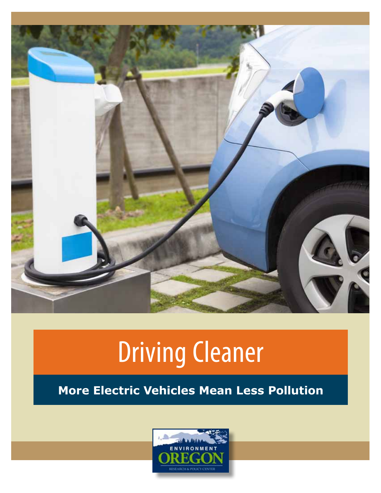

# Driving Cleaner

## **More Electric Vehicles Mean Less Pollution**

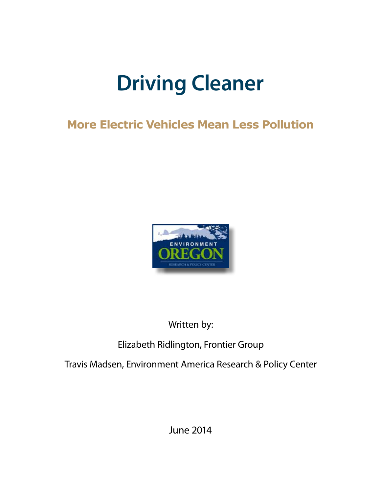## **Driving Cleaner**

## **More Electric Vehicles Mean Less Pollution**



Written by:

## Elizabeth Ridlington, Frontier Group

Travis Madsen, Environment America Research & Policy Center

June 2014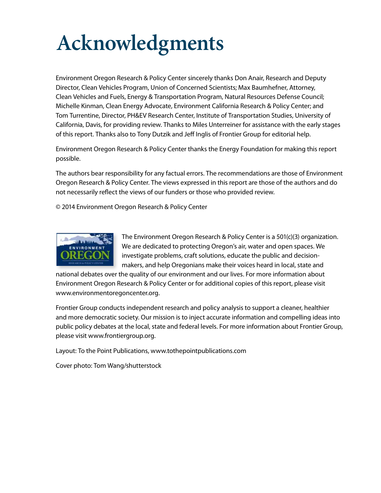## **Acknowledgments**

Environment Oregon Research & Policy Center sincerely thanks Don Anair, Research and Deputy Director, Clean Vehicles Program, Union of Concerned Scientists; Max Baumhefner, Attorney, Clean Vehicles and Fuels, Energy & Transportation Program, Natural Resources Defense Council; Michelle Kinman, Clean Energy Advocate, Environment California Research & Policy Center; and Tom Turrentine, Director, PH&EV Research Center, Institute of Transportation Studies, University of California, Davis, for providing review. Thanks to Miles Unterreiner for assistance with the early stages of this report. Thanks also to Tony Dutzik and Jeff Inglis of Frontier Group for editorial help.

Environment Oregon Research & Policy Center thanks the Energy Foundation for making this report possible.

The authors bear responsibility for any factual errors. The recommendations are those of Environment Oregon Research & Policy Center. The views expressed in this report are those of the authors and do not necessarily reflect the views of our funders or those who provided review.

© 2014 Environment Oregon Research & Policy Center



The Environment Oregon Research & Policy Center is a 501(c)(3) organization. We are dedicated to protecting Oregon's air, water and open spaces. We investigate problems, craft solutions, educate the public and decisionmakers, and help Oregonians make their voices heard in local, state and

national debates over the quality of our environment and our lives. For more information about Environment Oregon Research & Policy Center or for additional copies of this report, please visit www.environmentoregoncenter.org.

Frontier Group conducts independent research and policy analysis to support a cleaner, healthier and more democratic society. Our mission is to inject accurate information and compelling ideas into public policy debates at the local, state and federal levels. For more information about Frontier Group, please visit www.frontiergroup.org.

Layout: To the Point Publications, www.tothepointpublications.com

Cover photo: Tom Wang/shutterstock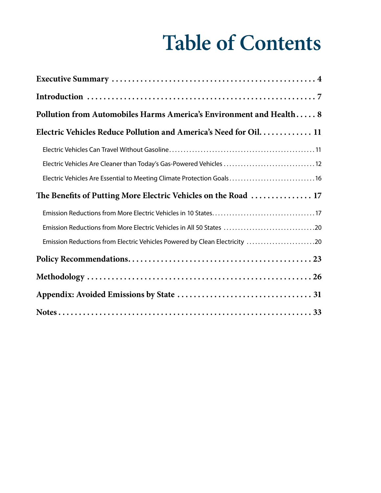## **Table of Contents**

| Pollution from Automobiles Harms America's Environment and Health 8        |
|----------------------------------------------------------------------------|
| Electric Vehicles Reduce Pollution and America's Need for Oil 11           |
|                                                                            |
| Electric Vehicles Are Cleaner than Today's Gas-Powered Vehicles 12         |
| Electric Vehicles Are Essential to Meeting Climate Protection Goals16      |
| The Benefits of Putting More Electric Vehicles on the Road  17             |
|                                                                            |
| Emission Reductions from More Electric Vehicles in All 50 States 20        |
| Emission Reductions from Electric Vehicles Powered by Clean Electricity 20 |
|                                                                            |
|                                                                            |
|                                                                            |
|                                                                            |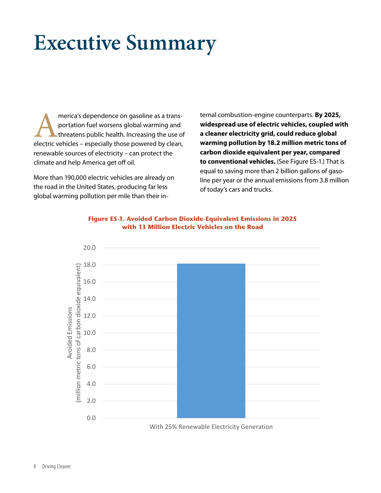## **Executive Summary**

merica's dependence on gasoline as a trans-<br>portation fuel worsens global warming and<br>threatens public health. Increasing the use of<br>electric vehicles – especially those powered by clean, portation fuel worsens global warming and threatens public health. Increasing the use of renewable sources of electricity – can protect the climate and help America get off oil.

More than 190,000 electric vehicles are already on the road in the United States, producing far less global warming pollution per mile than their internal combustion-engine counterparts. **By 2025, widespread use of electric vehicles, coupled with a cleaner electricity grid, could reduce global warming pollution by 18.2 million metric tons of carbon dioxide equivalent per year, compared to conventional vehicles.** (See Figure ES-1.) That is equal to saving more than 2 billion gallons of gasoline per year or the annual emissions from 3.8 million of today's cars and trucks.





With 25% Renewable Electricity Generation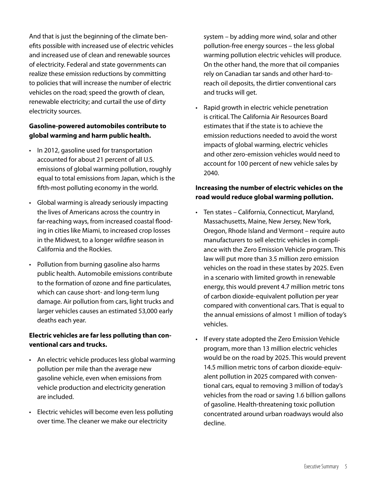And that is just the beginning of the climate benefits possible with increased use of electric vehicles and increased use of clean and renewable sources of electricity. Federal and state governments can realize these emission reductions by committing to policies that will increase the number of electric vehicles on the road; speed the growth of clean, renewable electricity; and curtail the use of dirty electricity sources.

#### **Gasoline-powered automobiles contribute to global warming and harm public health.**

- In 2012, gasoline used for transportation accounted for about 21 percent of all U.S. emissions of global warming pollution, roughly equal to total emissions from Japan, which is the fifth-most polluting economy in the world.
- • Global warming is already seriously impacting the lives of Americans across the country in far-reaching ways, from increased coastal flooding in cities like Miami, to increased crop losses in the Midwest, to a longer wildfire season in California and the Rockies.
- Pollution from burning gasoline also harms public health. Automobile emissions contribute to the formation of ozone and fine particulates, which can cause short- and long-term lung damage. Air pollution from cars, light trucks and larger vehicles causes an estimated 53,000 early deaths each year.

#### **Electric vehicles are far less polluting than conventional cars and trucks.**

- An electric vehicle produces less global warming pollution per mile than the average new gasoline vehicle, even when emissions from vehicle production and electricity generation are included.
- Electric vehicles will become even less polluting over time. The cleaner we make our electricity

system – by adding more wind, solar and other pollution-free energy sources – the less global warming pollution electric vehicles will produce. On the other hand, the more that oil companies rely on Canadian tar sands and other hard-toreach oil deposits, the dirtier conventional cars and trucks will get.

• Rapid growth in electric vehicle penetration is critical. The California Air Resources Board estimates that if the state is to achieve the emission reductions needed to avoid the worst impacts of global warming, electric vehicles and other zero-emission vehicles would need to account for 100 percent of new vehicle sales by 2040.

#### **Increasing the number of electric vehicles on the road would reduce global warming pollution.**

- • Ten states California, Connecticut, Maryland, Massachusetts, Maine, New Jersey, New York, Oregon, Rhode Island and Vermont – require auto manufacturers to sell electric vehicles in compliance with the Zero Emission Vehicle program. This law will put more than 3.5 million zero emission vehicles on the road in these states by 2025. Even in a scenario with limited growth in renewable energy, this would prevent 4.7 million metric tons of carbon dioxide-equivalent pollution per year compared with conventional cars. That is equal to the annual emissions of almost 1 million of today's vehicles.
- • If every state adopted the Zero Emission Vehicle program, more than 13 million electric vehicles would be on the road by 2025. This would prevent 14.5 million metric tons of carbon dioxide-equivalent pollution in 2025 compared with conventional cars, equal to removing 3 million of today's vehicles from the road or saving 1.6 billion gallons of gasoline. Health-threatening toxic pollution concentrated around urban roadways would also decline.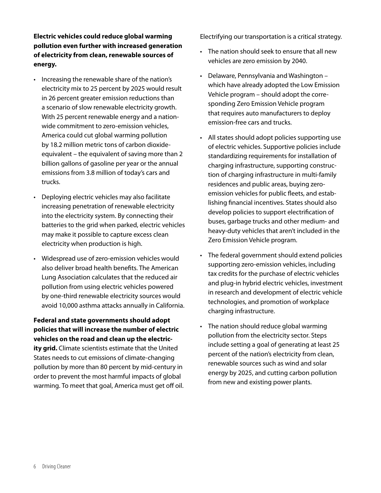**Electric vehicles could reduce global warming pollution even further with increased generation of electricity from clean, renewable sources of energy.**

- • Increasing the renewable share of the nation's electricity mix to 25 percent by 2025 would result in 26 percent greater emission reductions than a scenario of slow renewable electricity growth. With 25 percent renewable energy and a nationwide commitment to zero-emission vehicles, America could cut global warming pollution by 18.2 million metric tons of carbon dioxideequivalent – the equivalent of saving more than 2 billion gallons of gasoline per year or the annual emissions from 3.8 million of today's cars and trucks.
- Deploying electric vehicles may also facilitate increasing penetration of renewable electricity into the electricity system. By connecting their batteries to the grid when parked, electric vehicles may make it possible to capture excess clean electricity when production is high.
- • Widespread use of zero-emission vehicles would also deliver broad health benefits. The American Lung Association calculates that the reduced air pollution from using electric vehicles powered by one-third renewable electricity sources would avoid 10,000 asthma attacks annually in California.

**Federal and state governments should adopt policies that will increase the number of electric vehicles on the road and clean up the electricity grid.** Climate scientists estimate that the United States needs to cut emissions of climate-changing pollution by more than 80 percent by mid-century in order to prevent the most harmful impacts of global warming. To meet that goal, America must get off oil. Electrifying our transportation is a critical strategy.

- The nation should seek to ensure that all new vehicles are zero emission by 2040.
- Delaware, Pennsylvania and Washington which have already adopted the Low Emission Vehicle program – should adopt the corresponding Zero Emission Vehicle program that requires auto manufacturers to deploy emission-free cars and trucks.
- All states should adopt policies supporting use of electric vehicles. Supportive policies include standardizing requirements for installation of charging infrastructure, supporting construction of charging infrastructure in multi-family residences and public areas, buying zeroemission vehicles for public fleets, and establishing financial incentives. States should also develop policies to support electrification of buses, garbage trucks and other medium- and heavy-duty vehicles that aren't included in the Zero Emission Vehicle program.
- The federal government should extend policies supporting zero-emission vehicles, including tax credits for the purchase of electric vehicles and plug-in hybrid electric vehicles, investment in research and development of electric vehicle technologies, and promotion of workplace charging infrastructure.
- The nation should reduce global warming pollution from the electricity sector. Steps include setting a goal of generating at least 25 percent of the nation's electricity from clean, renewable sources such as wind and solar energy by 2025, and cutting carbon pollution from new and existing power plants.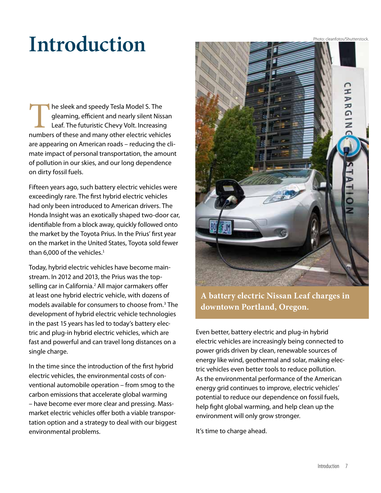Photo: cleanfotos/Shutterstock.

## **Introduction**

The sleek and speedy Tesla Model S. The<br>gleaming, efficient and nearly silent Niss<br>Leaf. The futuristic Chevy Volt. Increasing<br>numbers of these and many other electric vehic gleaming, efficient and nearly silent Nissan Leaf. The futuristic Chevy Volt. Increasing numbers of these and many other electric vehicles are appearing on American roads – reducing the climate impact of personal transportation, the amount of pollution in our skies, and our long dependence on dirty fossil fuels.

Fifteen years ago, such battery electric vehicles were exceedingly rare. The first hybrid electric vehicles had only been introduced to American drivers. The Honda Insight was an exotically shaped two-door car, identifiable from a block away, quickly followed onto the market by the Toyota Prius. In the Prius' first year on the market in the United States, Toyota sold fewer than 6,000 of the vehicles. $1$ 

Today, hybrid electric vehicles have become mainstream. In 2012 and 2013, the Prius was the topselling car in California.<sup>2</sup> All major carmakers offer at least one hybrid electric vehicle, with dozens of models available for consumers to choose from.<sup>3</sup> The development of hybrid electric vehicle technologies in the past 15 years has led to today's battery electric and plug-in hybrid electric vehicles, which are fast and powerful and can travel long distances on a single charge.

In the time since the introduction of the first hybrid electric vehicles, the environmental costs of conventional automobile operation – from smog to the carbon emissions that accelerate global warming – have become ever more clear and pressing. Massmarket electric vehicles offer both a viable transportation option and a strategy to deal with our biggest environmental problems.



**A battery electric Nissan Leaf charges in downtown Portland, Oregon.** 

Even better, battery electric and plug-in hybrid electric vehicles are increasingly being connected to power grids driven by clean, renewable sources of energy like wind, geothermal and solar, making electric vehicles even better tools to reduce pollution. As the environmental performance of the American energy grid continues to improve, electric vehicles' potential to reduce our dependence on fossil fuels, help fight global warming, and help clean up the environment will only grow stronger.

It's time to charge ahead.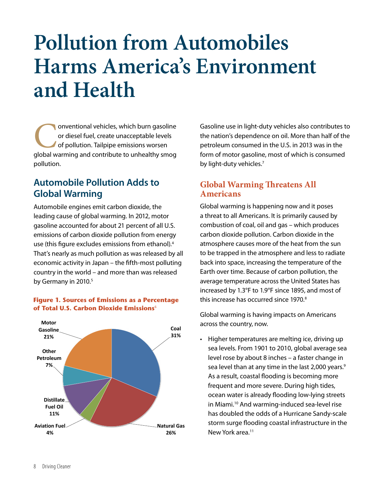## **Pollution from Automobiles Harms America's Environment and Health**

**Conventional vehicles, which burn gasoline**<br>
or diesel fuel, create unacceptable levels<br>
of pollution. Tailpipe emissions worsen<br>
global warming and contribute to unhealthy smog or diesel fuel, create unacceptable levels of pollution. Tailpipe emissions worsen pollution.

### **Automobile Pollution Adds to Global Warming**

Automobile engines emit carbon dioxide, the leading cause of global warming. In 2012, motor gasoline accounted for about 21 percent of all U.S. emissions of carbon dioxide pollution from energy use (this figure excludes emissions from ethanol).<sup>4</sup> That's nearly as much pollution as was released by all economic activity in Japan – the fifth-most polluting country in the world – and more than was released by Germany in 2010.<sup>5</sup>





Gasoline use in light-duty vehicles also contributes to the nation's dependence on oil. More than half of the petroleum consumed in the U.S. in 2013 was in the form of motor gasoline, most of which is consumed by light-duty vehicles.<sup>7</sup>

#### **Global Warming Threatens All Americans**

Global warming is happening now and it poses a threat to all Americans. It is primarily caused by combustion of coal, oil and gas – which produces carbon dioxide pollution. Carbon dioxide in the atmosphere causes more of the heat from the sun to be trapped in the atmosphere and less to radiate back into space, increasing the temperature of the Earth over time. Because of carbon pollution, the average temperature across the United States has increased by 1.3°F to 1.9°F since 1895, and most of this increase has occurred since 1970.<sup>8</sup>

Global warming is having impacts on Americans across the country, now.

• Higher temperatures are melting ice, driving up sea levels. From 1901 to 2010, global average sea level rose by about 8 inches – a faster change in sea level than at any time in the last 2,000 years.<sup>9</sup> As a result, coastal flooding is becoming more frequent and more severe. During high tides, ocean water is already flooding low-lying streets in Miami.<sup>10</sup> And warming-induced sea-level rise has doubled the odds of a Hurricane Sandy-scale storm surge flooding coastal infrastructure in the New York area.<sup>11</sup>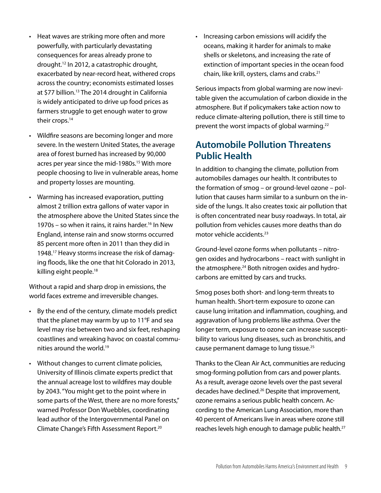- Heat waves are striking more often and more powerfully, with particularly devastating consequences for areas already prone to drought.12 In 2012, a catastrophic drought, exacerbated by near-record heat, withered crops across the country; economists estimated losses at \$77 billion.<sup>13</sup> The 2014 drought in California is widely anticipated to drive up food prices as farmers struggle to get enough water to grow their crops.<sup>14</sup>
- Wildfire seasons are becoming longer and more severe. In the western United States, the average area of forest burned has increased by 90,000 acres per year since the mid-1980s.<sup>15</sup> With more people choosing to live in vulnerable areas, home and property losses are mounting.
- • Warming has increased evaporation, putting almost 2 trillion extra gallons of water vapor in the atmosphere above the United States since the 1970s – so when it rains, it rains harder.<sup>16</sup> In New England, intense rain and snow storms occurred 85 percent more often in 2011 than they did in 1948.17 Heavy storms increase the risk of damaging floods, like the one that hit Colorado in 2013, killing eight people.<sup>18</sup>

Without a rapid and sharp drop in emissions, the world faces extreme and irreversible changes.

- • By the end of the century, climate models predict that the planet may warm by up to 11°F and sea level may rise between two and six feet, reshaping coastlines and wreaking havoc on coastal communities around the world.19
- Without changes to current climate policies, University of Illinois climate experts predict that the annual acreage lost to wildfires may double by 2043. "You might get to the point where in some parts of the West, there are no more forests," warned Professor Don Wuebbles, coordinating lead author of the Intergovernmental Panel on Climate Change's Fifth Assessment Report.20

• Increasing carbon emissions will acidify the oceans, making it harder for animals to make shells or skeletons, and increasing the rate of extinction of important species in the ocean food chain, like krill, oysters, clams and crabs.21

Serious impacts from global warming are now inevitable given the accumulation of carbon dioxide in the atmosphere. But if policymakers take action now to reduce climate-altering pollution, there is still time to prevent the worst impacts of global warming.<sup>22</sup>

## **Automobile Pollution Threatens Public Health**

In addition to changing the climate, pollution from automobiles damages our health. It contributes to the formation of smog – or ground-level ozone – pollution that causes harm similar to a sunburn on the inside of the lungs. It also creates toxic air pollution that is often concentrated near busy roadways. In total, air pollution from vehicles causes more deaths than do motor vehicle accidents.<sup>23</sup>

Ground-level ozone forms when pollutants – nitrogen oxides and hydrocarbons – react with sunlight in the atmosphere.<sup>24</sup> Both nitrogen oxides and hydrocarbons are emitted by cars and trucks.

Smog poses both short- and long-term threats to human health. Short-term exposure to ozone can cause lung irritation and inflammation, coughing, and aggravation of lung problems like asthma. Over the longer term, exposure to ozone can increase susceptibility to various lung diseases, such as bronchitis, and cause permanent damage to lung tissue.<sup>25</sup>

Thanks to the Clean Air Act, communities are reducing smog-forming pollution from cars and power plants. As a result, average ozone levels over the past several decades have declined.<sup>26</sup> Despite that improvement, ozone remains a serious public health concern. According to the American Lung Association, more than 40 percent of Americans live in areas where ozone still reaches levels high enough to damage public health.<sup>27</sup>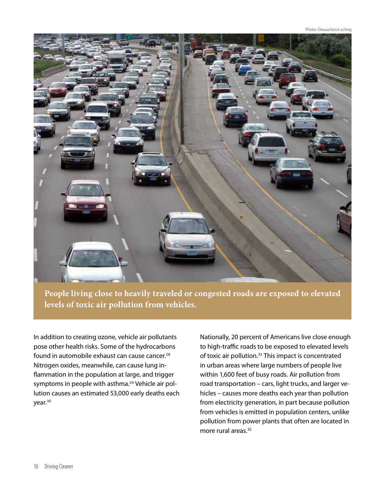Photo: Drouu/stock xchng

![](_page_10_Picture_1.jpeg)

**People living close to heavily traveled or congested roads are exposed to elevated levels of toxic air pollution from vehicles.** 

In addition to creating ozone, vehicle air pollutants pose other health risks. Some of the hydrocarbons found in automobile exhaust can cause cancer.<sup>28</sup> Nitrogen oxides, meanwhile, can cause lung inflammation in the population at large, and trigger symptoms in people with asthma.<sup>29</sup> Vehicle air pollution causes an estimated 53,000 early deaths each year.<sup>30</sup>

Nationally, 20 percent of Americans live close enough to high-traffic roads to be exposed to elevated levels of toxic air pollution.<sup>31</sup> This impact is concentrated in urban areas where large numbers of people live within 1,600 feet of busy roads. Air pollution from road transportation – cars, light trucks, and larger vehicles – causes more deaths each year than pollution from electricity generation, in part because pollution from vehicles is emitted in population centers, unlike pollution from power plants that often are located in more rural areas.<sup>32</sup>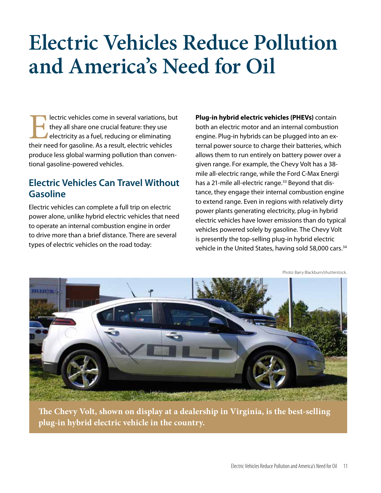## **Electric Vehicles Reduce Pollution and America's Need for Oil**

**Electric vehicles come in several variations, but they all share one crucial feature: they use electricity as a fuel, reducing or eliminating their need for gasoline. As a result, electric vehicles** they all share one crucial feature: they use **electricity as a fuel, reducing or eliminating** produce less global warming pollution than conventional gasoline-powered vehicles.

### **Electric Vehicles Can Travel Without Gasoline**

Electric vehicles can complete a full trip on electric power alone, unlike hybrid electric vehicles that need to operate an internal combustion engine in order to drive more than a brief distance. There are several types of electric vehicles on the road today:

**Plug-in hybrid electric vehicles (PHEVs)** contain both an electric motor and an internal combustion engine. Plug-in hybrids can be plugged into an external power source to charge their batteries, which allows them to run entirely on battery power over a given range. For example, the Chevy Volt has a 38 mile all-electric range, while the Ford C-Max Energi has a 21-mile all-electric range.<sup>33</sup> Beyond that distance, they engage their internal combustion engine to extend range. Even in regions with relatively dirty power plants generating electricity, plug-in hybrid electric vehicles have lower emissions than do typical vehicles powered solely by gasoline. The Chevy Volt is presently the top-selling plug-in hybrid electric vehicle in the United States, having sold 58,000 cars.<sup>34</sup>

Photo: Barry Blackburn/shutterstock.

![](_page_11_Picture_6.jpeg)

**The Chevy Volt, shown on display at a dealership in Virginia, is the best-selling plug-in hybrid electric vehicle in the country.**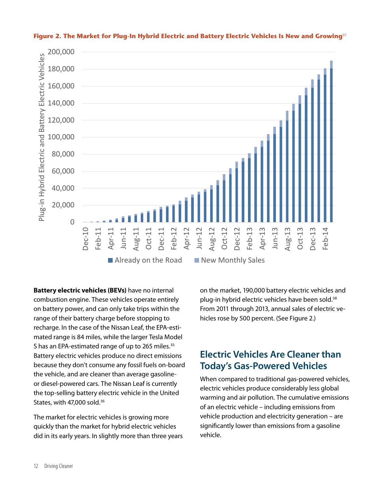![](_page_12_Figure_0.jpeg)

#### **Figure 2. The Market for Plug-In Hybrid Electric and Battery Electric Vehicles Is New and Growing**<sup>37</sup>

**Battery electric vehicles (BEVs)** have no internal combustion engine. These vehicles operate entirely on battery power, and can only take trips within the range of their battery charge before stopping to recharge. In the case of the Nissan Leaf, the EPA-estimated range is 84 miles, while the larger Tesla Model S has an EPA-estimated range of up to 265 miles.<sup>35</sup> Battery electric vehicles produce no direct emissions because they don't consume any fossil fuels on-board the vehicle, and are cleaner than average gasolineor diesel-powered cars. The Nissan Leaf is currently the top-selling battery electric vehicle in the United States, with 47,000 sold.<sup>36</sup>

The market for electric vehicles is growing more quickly than the market for hybrid electric vehicles did in its early years. In slightly more than three years on the market, 190,000 battery electric vehicles and plug-in hybrid electric vehicles have been sold.<sup>38</sup> From 2011 through 2013, annual sales of electric vehicles rose by 500 percent. (See Figure 2.)

#### **Electric Vehicles Are Cleaner than Today's Gas-Powered Vehicles**

When compared to traditional gas-powered vehicles, electric vehicles produce considerably less global warming and air pollution. The cumulative emissions of an electric vehicle – including emissions from vehicle production and electricity generation – are significantly lower than emissions from a gasoline vehicle.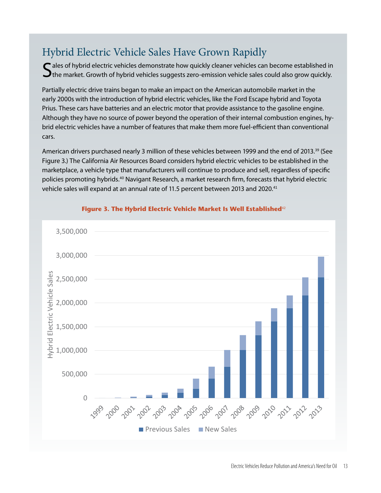## Hybrid Electric Vehicle Sales Have Grown Rapidly

 $\bigcap$  ales of hybrid electric vehicles demonstrate how quickly cleaner vehicles can become established in  $\Box$  the market. Growth of hybrid vehicles suggests zero-emission vehicle sales could also grow quickly.

Partially electric drive trains began to make an impact on the American automobile market in the early 2000s with the introduction of hybrid electric vehicles, like the Ford Escape hybrid and Toyota Prius. These cars have batteries and an electric motor that provide assistance to the gasoline engine. Although they have no source of power beyond the operation of their internal combustion engines, hybrid electric vehicles have a number of features that make them more fuel-efficient than conventional cars.

American drivers purchased nearly 3 million of these vehicles between 1999 and the end of 2013.<sup>39</sup> (See Figure 3.) The California Air Resources Board considers hybrid electric vehicles to be established in the marketplace, a vehicle type that manufacturers will continue to produce and sell, regardless of specific policies promoting hybrids.<sup>40</sup> Navigant Research, a market research firm, forecasts that hybrid electric vehicle sales will expand at an annual rate of 11.5 percent between 2013 and 2020.<sup>41</sup>

![](_page_13_Figure_4.jpeg)

#### Figure 3. The Hybrid Electric Vehicle Market Is Well Established<sup>42</sup>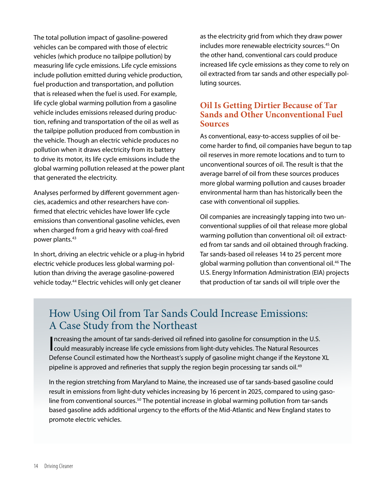The total pollution impact of gasoline-powered vehicles can be compared with those of electric vehicles (which produce no tailpipe pollution) by measuring life cycle emissions. Life cycle emissions include pollution emitted during vehicle production, fuel production and transportation, and pollution that is released when the fuel is used. For example, life cycle global warming pollution from a gasoline vehicle includes emissions released during production, refining and transportation of the oil as well as the tailpipe pollution produced from combustion in the vehicle. Though an electric vehicle produces no pollution when it draws electricity from its battery to drive its motor, its life cycle emissions include the global warming pollution released at the power plant that generated the electricity.

Analyses performed by different government agencies, academics and other researchers have confirmed that electric vehicles have lower life cycle emissions than conventional gasoline vehicles, even when charged from a grid heavy with coal-fired power plants.<sup>43</sup>

In short, driving an electric vehicle or a plug-in hybrid electric vehicle produces less global warming pollution than driving the average gasoline-powered vehicle today.<sup>44</sup> Electric vehicles will only get cleaner

as the electricity grid from which they draw power includes more renewable electricity sources.<sup>45</sup> On the other hand, conventional cars could produce increased life cycle emissions as they come to rely on oil extracted from tar sands and other especially polluting sources.

#### **Oil Is Getting Dirtier Because of Tar Sands and Other Unconventional Fuel Sources**

As conventional, easy-to-access supplies of oil become harder to find, oil companies have begun to tap oil reserves in more remote locations and to turn to unconventional sources of oil. The result is that the average barrel of oil from these sources produces more global warming pollution and causes broader environmental harm than has historically been the case with conventional oil supplies.

Oil companies are increasingly tapping into two unconventional supplies of oil that release more global warming pollution than conventional oil: oil extracted from tar sands and oil obtained through fracking. Tar sands-based oil releases 14 to 25 percent more global warming pollution than conventional oil.<sup>46</sup> The U.S. Energy Information Administration (EIA) projects that production of tar sands oil will triple over the

## How Using Oil from Tar Sands Could Increase Emissions: A Case Study from the Northeast

Increasing the amount of tar sands-derived oil refined into gasoline for consumption in the U.S.<br>
could measurably increase life cycle emissions from light-duty vehicles. The Natural Resources could measurably increase life cycle emissions from light-duty vehicles. The Natural Resources Defense Council estimated how the Northeast's supply of gasoline might change if the Keystone XL pipeline is approved and refineries that supply the region begin processing tar sands oil.<sup>49</sup>

In the region stretching from Maryland to Maine, the increased use of tar sands-based gasoline could result in emissions from light-duty vehicles increasing by 16 percent in 2025, compared to using gasoline from conventional sources.<sup>50</sup> The potential increase in global warming pollution from tar-sands based gasoline adds additional urgency to the efforts of the Mid-Atlantic and New England states to promote electric vehicles.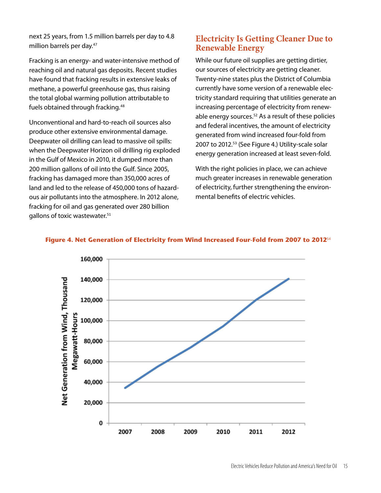next 25 years, from 1.5 million barrels per day to 4.8 million barrels per day.<sup>47</sup>

Fracking is an energy- and water-intensive method of reaching oil and natural gas deposits. Recent studies have found that fracking results in extensive leaks of methane, a powerful greenhouse gas, thus raising the total global warming pollution attributable to fuels obtained through fracking.<sup>48</sup>

Unconventional and hard-to-reach oil sources also produce other extensive environmental damage. Deepwater oil drilling can lead to massive oil spills: when the Deepwater Horizon oil drilling rig exploded in the Gulf of Mexico in 2010, it dumped more than 200 million gallons of oil into the Gulf. Since 2005, fracking has damaged more than 350,000 acres of land and led to the release of 450,000 tons of hazardous air pollutants into the atmosphere. In 2012 alone, fracking for oil and gas generated over 280 billion gallons of toxic wastewater.<sup>51</sup>

#### **Electricity Is Getting Cleaner Due to Renewable Energy**

While our future oil supplies are getting dirtier, our sources of electricity are getting cleaner. Twenty-nine states plus the District of Columbia currently have some version of a renewable electricity standard requiring that utilities generate an increasing percentage of electricity from renewable energy sources.<sup>52</sup> As a result of these policies and federal incentives, the amount of electricity generated from wind increased four-fold from 2007 to 2012.<sup>53</sup> (See Figure 4.) Utility-scale solar energy generation increased at least seven-fold.

With the right policies in place, we can achieve much greater increases in renewable generation of electricity, further strengthening the environmental benefits of electric vehicles.

![](_page_15_Figure_6.jpeg)

#### **Figure 4. Net Generation of Electricity from Wind Increased Four-Fold from 2007 to 2012**54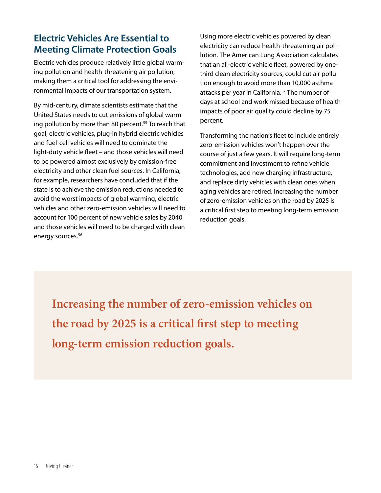## **Electric Vehicles Are Essential to Meeting Climate Protection Goals**

Electric vehicles produce relatively little global warming pollution and health-threatening air pollution, making them a critical tool for addressing the environmental impacts of our transportation system.

By mid-century, climate scientists estimate that the United States needs to cut emissions of global warming pollution by more than 80 percent.<sup>55</sup> To reach that goal, electric vehicles, plug-in hybrid electric vehicles and fuel-cell vehicles will need to dominate the light-duty vehicle fleet – and those vehicles will need to be powered almost exclusively by emission-free electricity and other clean fuel sources. In California, for example, researchers have concluded that if the state is to achieve the emission reductions needed to avoid the worst impacts of global warming, electric vehicles and other zero-emission vehicles will need to account for 100 percent of new vehicle sales by 2040 and those vehicles will need to be charged with clean energy sources.<sup>56</sup>

Using more electric vehicles powered by clean electricity can reduce health-threatening air pollution. The American Lung Association calculates that an all-electric vehicle fleet, powered by onethird clean electricity sources, could cut air pollution enough to avoid more than 10,000 asthma attacks per year in California.<sup>57</sup> The number of days at school and work missed because of health impacts of poor air quality could decline by 75 percent.

Transforming the nation's fleet to include entirely zero-emission vehicles won't happen over the course of just a few years. It will require long-term commitment and investment to refine vehicle technologies, add new charging infrastructure, and replace dirty vehicles with clean ones when aging vehicles are retired. Increasing the number of zero-emission vehicles on the road by 2025 is a critical first step to meeting long-term emission reduction goals.

**Increasing the number of zero-emission vehicles on the road by 2025 is a critical first step to meeting long-term emission reduction goals.**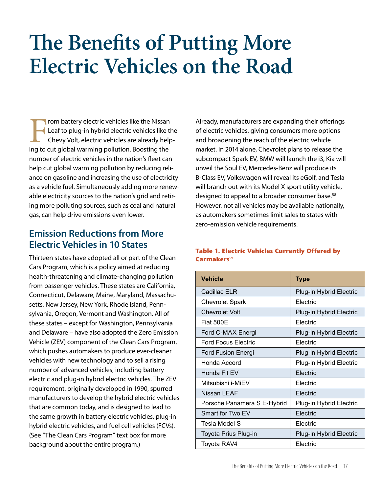## **The Benefits of Putting More Electric Vehicles on the Road**

I rom battery electric vehicles like the Nissan Leaf to plug-in hybrid electric vehicles like the Chevy Volt, electric vehicles are already helping to cut global warming pollution. Boosting the number of electric vehicles in the nation's fleet can help cut global warming pollution by reducing reliance on gasoline and increasing the use of electricity as a vehicle fuel. Simultaneously adding more renewable electricity sources to the nation's grid and retiring more polluting sources, such as coal and natural gas, can help drive emissions even lower.

### **Emission Reductions from More Electric Vehicles in 10 States**

Thirteen states have adopted all or part of the Clean Cars Program, which is a policy aimed at reducing health-threatening and climate-changing pollution from passenger vehicles. These states are California, Connecticut, Delaware, Maine, Maryland, Massachusetts, New Jersey, New York, Rhode Island, Pennsylvania, Oregon, Vermont and Washington. All of these states – except for Washington, Pennsylvania and Delaware – have also adopted the Zero Emission Vehicle (ZEV) component of the Clean Cars Program, which pushes automakers to produce ever-cleaner vehicles with new technology and to sell a rising number of advanced vehicles, including battery electric and plug-in hybrid electric vehicles. The ZEV requirement, originally developed in 1990, spurred manufacturers to develop the hybrid electric vehicles that are common today, and is designed to lead to the same growth in battery electric vehicles, plug-in hybrid electric vehicles, and fuel cell vehicles (FCVs). (See "The Clean Cars Program" text box for more background about the entire program.)

Already, manufacturers are expanding their offerings of electric vehicles, giving consumers more options and broadening the reach of the electric vehicle market. In 2014 alone, Chevrolet plans to release the subcompact Spark EV, BMW will launch the i3, Kia will unveil the Soul EV, Mercedes-Benz will produce its B-Class EV, Volkswagen will reveal its eGolf, and Tesla will branch out with its Model X sport utility vehicle, designed to appeal to a broader consumer base.<sup>58</sup> However, not all vehicles may be available nationally, as automakers sometimes limit sales to states with zero-emission vehicle requirements.

#### **Table 1. Electric Vehicles Currently Offered by Carmakers**59

| <b>Vehicle</b>              | <b>Type</b>             |
|-----------------------------|-------------------------|
| Cadillac ELR                | Plug-in Hybrid Electric |
| <b>Chevrolet Spark</b>      | Electric                |
| <b>Chevrolet Volt</b>       | Plug-in Hybrid Electric |
| <b>Fiat 500E</b>            | Electric                |
| Ford C-MAX Energi           | Plug-in Hybrid Electric |
| <b>Ford Focus Electric</b>  | Electric                |
| <b>Ford Fusion Energi</b>   | Plug-in Hybrid Electric |
| Honda Accord                | Plug-in Hybrid Electric |
| Honda Fit EV                | Electric                |
| Mitsubishi i-MiEV           | Electric                |
| Nissan LEAF                 | Electric                |
| Porsche Panamera S E-Hybrid | Plug-in Hybrid Electric |
| Smart for Two EV            | Electric                |
| Tesla Model S               | Electric                |
| Toyota Prius Plug-in        | Plug-in Hybrid Electric |
| Toyota RAV4                 | Electric                |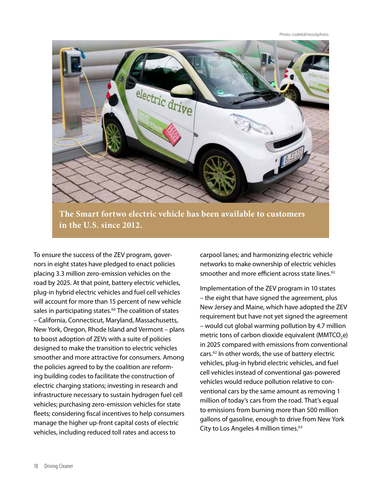Photo: code6d/istockphoto.

![](_page_18_Picture_1.jpeg)

**The Smart fortwo electric vehicle has been available to customers in the U.S. since 2012.** 

To ensure the success of the ZEV program, governors in eight states have pledged to enact policies placing 3.3 million zero-emission vehicles on the road by 2025. At that point, battery electric vehicles, plug-in hybrid electric vehicles and fuel cell vehicles will account for more than 15 percent of new vehicle sales in participating states.<sup>60</sup> The coalition of states – California, Connecticut, Maryland, Massachusetts, New York, Oregon, Rhode Island and Vermont – plans to boost adoption of ZEVs with a suite of policies designed to make the transition to electric vehicles smoother and more attractive for consumers. Among the policies agreed to by the coalition are reforming building codes to facilitate the construction of electric charging stations; investing in research and infrastructure necessary to sustain hydrogen fuel cell vehicles; purchasing zero-emission vehicles for state fleets; considering fiscal incentives to help consumers manage the higher up-front capital costs of electric vehicles, including reduced toll rates and access to

carpool lanes; and harmonizing electric vehicle networks to make ownership of electric vehicles smoother and more efficient across state lines.<sup>61</sup>

Implementation of the ZEV program in 10 states – the eight that have signed the agreement, plus New Jersey and Maine, which have adopted the ZEV requirement but have not yet signed the agreement – would cut global warming pollution by 4.7 million metric tons of carbon dioxide equivalent (MMTCO<sub>2</sub>e) in 2025 compared with emissions from conventional cars.<sup>62</sup> In other words, the use of battery electric vehicles, plug-in hybrid electric vehicles, and fuel cell vehicles instead of conventional gas-powered vehicles would reduce pollution relative to conventional cars by the same amount as removing 1 million of today's cars from the road. That's equal to emissions from burning more than 500 million gallons of gasoline, enough to drive from New York City to Los Angeles 4 million times.<sup>63</sup>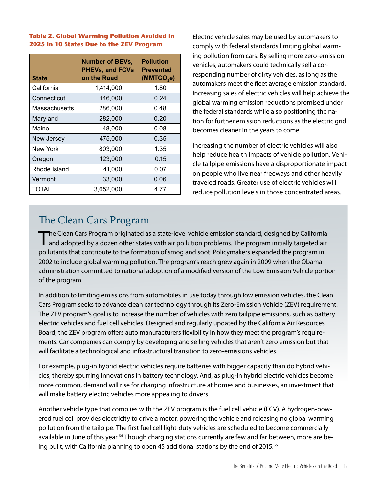#### **Table 2. Global Warming Pollution Avoided in 2025 in 10 States Due to the ZEV Program**

| <b>State</b>  | <b>Number of BEVs,</b><br><b>PHEVs, and FCVs</b><br>on the Road | <b>Pollution</b><br><b>Prevented</b><br>(MMTCO <sub>2</sub> e) |
|---------------|-----------------------------------------------------------------|----------------------------------------------------------------|
| California    | 1,414,000                                                       | 1.80                                                           |
| Connecticut   | 146,000                                                         | 0.24                                                           |
| Massachusetts | 286,000                                                         | 0.48                                                           |
| Maryland      | 282,000                                                         | 0.20                                                           |
| Maine         | 48,000                                                          | 0.08                                                           |
| New Jersey    | 475,000                                                         | 0.35                                                           |
| New York      | 803,000                                                         | 1.35                                                           |
| Oregon        | 123,000                                                         | 0.15                                                           |
| Rhode Island  | 41,000                                                          | 0.07                                                           |
| Vermont       | 33,000                                                          | 0.06                                                           |
| TOTAL         | 3,652,000                                                       | 4.77                                                           |

Electric vehicle sales may be used by automakers to comply with federal standards limiting global warming pollution from cars. By selling more zero-emission vehicles, automakers could technically sell a corresponding number of dirty vehicles, as long as the automakers meet the fleet average emission standard. Increasing sales of electric vehicles will help achieve the global warming emission reductions promised under the federal standards while also positioning the nation for further emission reductions as the electric grid becomes cleaner in the years to come.

Increasing the number of electric vehicles will also help reduce health impacts of vehicle pollution. Vehicle tailpipe emissions have a disproportionate impact on people who live near freeways and other heavily traveled roads. Greater use of electric vehicles will reduce pollution levels in those concentrated areas.

## The Clean Cars Program

The Clean Cars Program originated as a state-level vehicle emission standard, designed by California<br>and adopted by a dozen other states with air pollution problems. The program initially targeted air pollutants that contribute to the formation of smog and soot. Policymakers expanded the program in 2002 to include global warming pollution. The program's reach grew again in 2009 when the Obama administration committed to national adoption of a modified version of the Low Emission Vehicle portion of the program.

In addition to limiting emissions from automobiles in use today through low emission vehicles, the Clean Cars Program seeks to advance clean car technology through its Zero-Emission Vehicle (ZEV) requirement. The ZEV program's goal is to increase the number of vehicles with zero tailpipe emissions, such as battery electric vehicles and fuel cell vehicles. Designed and regularly updated by the California Air Resources Board, the ZEV program offers auto manufacturers flexibility in how they meet the program's requirements. Car companies can comply by developing and selling vehicles that aren't zero emission but that will facilitate a technological and infrastructural transition to zero-emissions vehicles.

For example, plug-in hybrid electric vehicles require batteries with bigger capacity than do hybrid vehicles, thereby spurring innovations in battery technology. And, as plug-in hybrid electric vehicles become more common, demand will rise for charging infrastructure at homes and businesses, an investment that will make battery electric vehicles more appealing to drivers.

Another vehicle type that complies with the ZEV program is the fuel cell vehicle (FCV). A hydrogen-powered fuel cell provides electricity to drive a motor, powering the vehicle and releasing no global warming pollution from the tailpipe. The first fuel cell light-duty vehicles are scheduled to become commercially available in June of this year.<sup>64</sup> Though charging stations currently are few and far between, more are being built, with California planning to open 45 additional stations by the end of 2015.<sup>65</sup>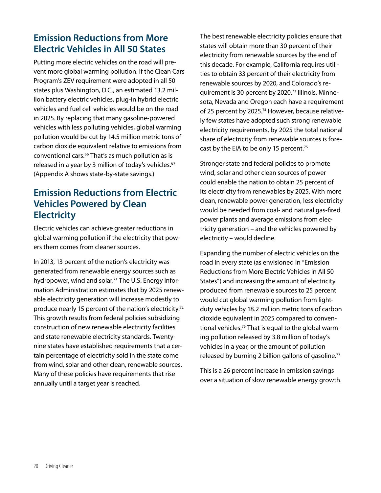## **Emission Reductions from More Electric Vehicles in All 50 States**

Putting more electric vehicles on the road will prevent more global warming pollution. If the Clean Cars Program's ZEV requirement were adopted in all 50 states plus Washington, D.C., an estimated 13.2 million battery electric vehicles, plug-in hybrid electric vehicles and fuel cell vehicles would be on the road in 2025. By replacing that many gasoline-powered vehicles with less polluting vehicles, global warming pollution would be cut by 14.5 million metric tons of carbon dioxide equivalent relative to emissions from conventional cars.<sup>66</sup> That's as much pollution as is released in a year by 3 million of today's vehicles.<sup>67</sup> (Appendix A shows state-by-state savings.)

### **Emission Reductions from Electric Vehicles Powered by Clean Electricity**

Electric vehicles can achieve greater reductions in global warming pollution if the electricity that powers them comes from cleaner sources.

In 2013, 13 percent of the nation's electricity was generated from renewable energy sources such as hydropower, wind and solar.<sup>71</sup> The U.S. Energy Information Administration estimates that by 2025 renewable electricity generation will increase modestly to produce nearly 15 percent of the nation's electricity.<sup>72</sup> This growth results from federal policies subsidizing construction of new renewable electricity facilities and state renewable electricity standards. Twentynine states have established requirements that a certain percentage of electricity sold in the state come from wind, solar and other clean, renewable sources. Many of these policies have requirements that rise annually until a target year is reached.

The best renewable electricity policies ensure that states will obtain more than 30 percent of their electricity from renewable sources by the end of this decade. For example, California requires utilities to obtain 33 percent of their electricity from renewable sources by 2020, and Colorado's requirement is 30 percent by 2020.73 Illinois, Minnesota, Nevada and Oregon each have a requirement of 25 percent by 2025.<sup>74</sup> However, because relatively few states have adopted such strong renewable electricity requirements, by 2025 the total national share of electricity from renewable sources is forecast by the EIA to be only 15 percent.<sup>75</sup>

Stronger state and federal policies to promote wind, solar and other clean sources of power could enable the nation to obtain 25 percent of its electricity from renewables by 2025. With more clean, renewable power generation, less electricity would be needed from coal- and natural gas-fired power plants and average emissions from electricity generation – and the vehicles powered by electricity – would decline.

Expanding the number of electric vehicles on the road in every state (as envisioned in "Emission Reductions from More Electric Vehicles in All 50 States") and increasing the amount of electricity produced from renewable sources to 25 percent would cut global warming pollution from lightduty vehicles by 18.2 million metric tons of carbon dioxide equivalent in 2025 compared to conventional vehicles.76 That is equal to the global warming pollution released by 3.8 million of today's vehicles in a year, or the amount of pollution released by burning 2 billion gallons of gasoline.<sup>77</sup>

This is a 26 percent increase in emission savings over a situation of slow renewable energy growth.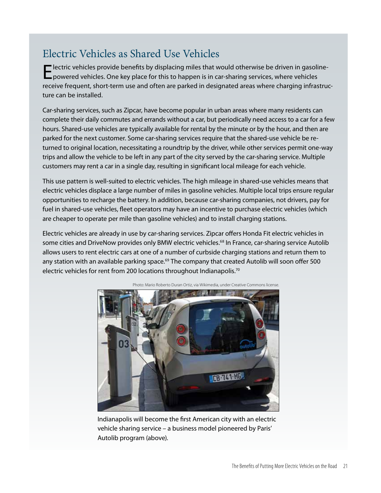## Electric Vehicles as Shared Use Vehicles

Electric vehicles provide benefits by displacing miles that would otherwise be driven in gasoline-<br>powered vehicles. One key place for this to happen is in car-sharing services, where vehicles receive frequent, short-term use and often are parked in designated areas where charging infrastructure can be installed.

Car-sharing services, such as Zipcar, have become popular in urban areas where many residents can complete their daily commutes and errands without a car, but periodically need access to a car for a few hours. Shared-use vehicles are typically available for rental by the minute or by the hour, and then are parked for the next customer. Some car-sharing services require that the shared-use vehicle be returned to original location, necessitating a roundtrip by the driver, while other services permit one-way trips and allow the vehicle to be left in any part of the city served by the car-sharing service. Multiple customers may rent a car in a single day, resulting in significant local mileage for each vehicle.

This use pattern is well-suited to electric vehicles. The high mileage in shared-use vehicles means that electric vehicles displace a large number of miles in gasoline vehicles. Multiple local trips ensure regular opportunities to recharge the battery. In addition, because car-sharing companies, not drivers, pay for fuel in shared-use vehicles, fleet operators may have an incentive to purchase electric vehicles (which are cheaper to operate per mile than gasoline vehicles) and to install charging stations.

Electric vehicles are already in use by car-sharing services. Zipcar offers Honda Fit electric vehicles in some cities and DriveNow provides only BMW electric vehicles.<sup>68</sup> In France, car-sharing service Autolib allows users to rent electric cars at one of a number of curbside charging stations and return them to any station with an available parking space.<sup>69</sup> The company that created Autolib will soon offer 500 electric vehicles for rent from 200 locations throughout Indianapolis.<sup>70</sup>

![](_page_21_Picture_5.jpeg)

Photo: Mario Roberto Duran Ortiz, via Wikimedia, under Creative Commons license.

Indianapolis will become the first American city with an electric vehicle sharing service – a business model pioneered by Paris' Autolib program (above).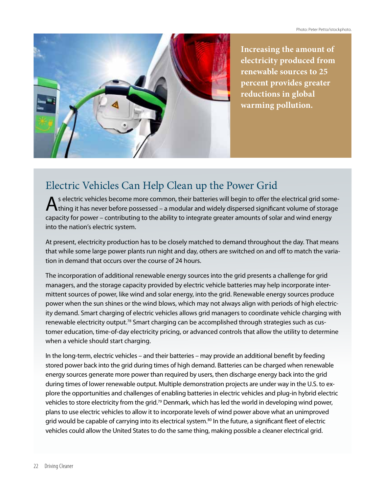![](_page_22_Picture_1.jpeg)

**Increasing the amount of electricity produced from renewable sources to 25 percent provides greater reductions in global warming pollution.**

## Electric Vehicles Can Help Clean up the Power Grid

s electric vehicles become more common, their batteries will begin to offer the electrical grid something it has never before possessed – a modular and widely dispersed significant volume of storage capacity for power – contributing to the ability to integrate greater amounts of solar and wind energy into the nation's electric system.

At present, electricity production has to be closely matched to demand throughout the day. That means that while some large power plants run night and day, others are switched on and off to match the variation in demand that occurs over the course of 24 hours.

The incorporation of additional renewable energy sources into the grid presents a challenge for grid managers, and the storage capacity provided by electric vehicle batteries may help incorporate intermittent sources of power, like wind and solar energy, into the grid. Renewable energy sources produce power when the sun shines or the wind blows, which may not always align with periods of high electricity demand. Smart charging of electric vehicles allows grid managers to coordinate vehicle charging with renewable electricity output.<sup>78</sup> Smart charging can be accomplished through strategies such as customer education, time-of-day electricity pricing, or advanced controls that allow the utility to determine when a vehicle should start charging.

In the long-term, electric vehicles – and their batteries – may provide an additional benefit by feeding stored power back into the grid during times of high demand. Batteries can be charged when renewable energy sources generate more power than required by users, then discharge energy back into the grid during times of lower renewable output. Multiple demonstration projects are under way in the U.S. to explore the opportunities and challenges of enabling batteries in electric vehicles and plug-in hybrid electric vehicles to store electricity from the grid.<sup>79</sup> Denmark, which has led the world in developing wind power, plans to use electric vehicles to allow it to incorporate levels of wind power above what an unimproved grid would be capable of carrying into its electrical system.<sup>80</sup> In the future, a significant fleet of electric vehicles could allow the United States to do the same thing, making possible a cleaner electrical grid.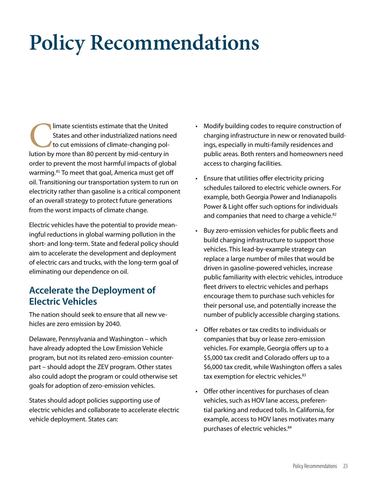## **Policy Recommendations**

Imate scientists estimate that the United States and other industrialized nations need to cut emissions of climate-changing pollution by more than 80 percent by mid-century in States and other industrialized nations need to cut emissions of climate-changing polorder to prevent the most harmful impacts of global warming.<sup>81</sup> To meet that goal, America must get off oil. Transitioning our transportation system to run on electricity rather than gasoline is a critical component of an overall strategy to protect future generations from the worst impacts of climate change.

Electric vehicles have the potential to provide meaningful reductions in global warming pollution in the short- and long-term. State and federal policy should aim to accelerate the development and deployment of electric cars and trucks, with the long-term goal of eliminating our dependence on oil.

### **Accelerate the Deployment of Electric Vehicles**

The nation should seek to ensure that all new vehicles are zero emission by 2040.

Delaware, Pennsylvania and Washington – which have already adopted the Low Emission Vehicle program, but not its related zero-emission counterpart – should adopt the ZEV program. Other states also could adopt the program or could otherwise set goals for adoption of zero-emission vehicles.

States should adopt policies supporting use of electric vehicles and collaborate to accelerate electric vehicle deployment. States can:

- Modify building codes to require construction of charging infrastructure in new or renovated buildings, especially in multi-family residences and public areas. Both renters and homeowners need access to charging facilities.
- • Ensure that utilities offer electricity pricing schedules tailored to electric vehicle owners. For example, both Georgia Power and Indianapolis Power & Light offer such options for individuals and companies that need to charge a vehicle.<sup>82</sup>
- Buy zero-emission vehicles for public fleets and build charging infrastructure to support those vehicles. This lead-by-example strategy can replace a large number of miles that would be driven in gasoline-powered vehicles, increase public familiarity with electric vehicles, introduce fleet drivers to electric vehicles and perhaps encourage them to purchase such vehicles for their personal use, and potentially increase the number of publicly accessible charging stations.
- • Offer rebates or tax credits to individuals or companies that buy or lease zero-emission vehicles. For example, Georgia offers up to a \$5,000 tax credit and Colorado offers up to a \$6,000 tax credit, while Washington offers a sales tax exemption for electric vehicles.<sup>83</sup>
- Offer other incentives for purchases of clean vehicles, such as HOV lane access, preferential parking and reduced tolls. In California, for example, access to HOV lanes motivates many purchases of electric vehicles.<sup>84</sup>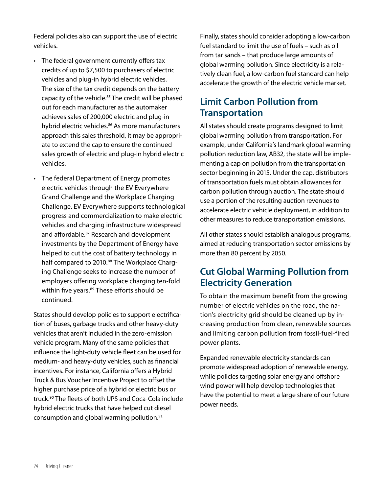Federal policies also can support the use of electric vehicles.

- The federal government currently offers tax credits of up to \$7,500 to purchasers of electric vehicles and plug-in hybrid electric vehicles. The size of the tax credit depends on the battery capacity of the vehicle.<sup>85</sup> The credit will be phased out for each manufacturer as the automaker achieves sales of 200,000 electric and plug-in hybrid electric vehicles.<sup>86</sup> As more manufacturers approach this sales threshold, it may be appropriate to extend the cap to ensure the continued sales growth of electric and plug-in hybrid electric vehicles.
- • The federal Department of Energy promotes electric vehicles through the EV Everywhere Grand Challenge and the Workplace Charging Challenge. EV Everywhere supports technological progress and commercialization to make electric vehicles and charging infrastructure widespread and affordable.<sup>87</sup> Research and development investments by the Department of Energy have helped to cut the cost of battery technology in half compared to 2010.<sup>88</sup> The Workplace Charging Challenge seeks to increase the number of employers offering workplace charging ten-fold within five years.<sup>89</sup> These efforts should be continued.

States should develop policies to support electrification of buses, garbage trucks and other heavy-duty vehicles that aren't included in the zero-emission vehicle program. Many of the same policies that influence the light-duty vehicle fleet can be used for medium- and heavy-duty vehicles, such as financial incentives. For instance, California offers a Hybrid Truck & Bus Voucher Incentive Project to offset the higher purchase price of a hybrid or electric bus or truck.<sup>90</sup> The fleets of both UPS and Coca-Cola include hybrid electric trucks that have helped cut diesel consumption and global warming pollution.<sup>91</sup>

Finally, states should consider adopting a low-carbon fuel standard to limit the use of fuels – such as oil from tar sands – that produce large amounts of global warming pollution. Since electricity is a relatively clean fuel, a low-carbon fuel standard can help accelerate the growth of the electric vehicle market.

### **Limit Carbon Pollution from Transportation**

All states should create programs designed to limit global warming pollution from transportation. For example, under California's landmark global warming pollution reduction law, AB32, the state will be implementing a cap on pollution from the transportation sector beginning in 2015. Under the cap, distributors of transportation fuels must obtain allowances for carbon pollution through auction. The state should use a portion of the resulting auction revenues to accelerate electric vehicle deployment, in addition to other measures to reduce transportation emissions.

All other states should establish analogous programs, aimed at reducing transportation sector emissions by more than 80 percent by 2050.

### **Cut Global Warming Pollution from Electricity Generation**

To obtain the maximum benefit from the growing number of electric vehicles on the road, the nation's electricity grid should be cleaned up by increasing production from clean, renewable sources and limiting carbon pollution from fossil-fuel-fired power plants.

Expanded renewable electricity standards can promote widespread adoption of renewable energy, while policies targeting solar energy and offshore wind power will help develop technologies that have the potential to meet a large share of our future power needs.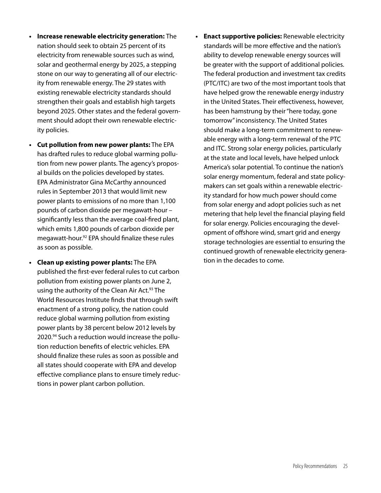- **• Increase renewable electricity generation:** The nation should seek to obtain 25 percent of its electricity from renewable sources such as wind, solar and geothermal energy by 2025, a stepping stone on our way to generating all of our electricity from renewable energy. The 29 states with existing renewable electricity standards should strengthen their goals and establish high targets beyond 2025. Other states and the federal government should adopt their own renewable electricity policies.
- **• Cut pollution from new power plants:** The EPA has drafted rules to reduce global warming pollution from new power plants. The agency's proposal builds on the policies developed by states. EPA Administrator Gina McCarthy announced rules in September 2013 that would limit new power plants to emissions of no more than 1,100 pounds of carbon dioxide per megawatt-hour – significantly less than the average coal-fired plant, which emits 1,800 pounds of carbon dioxide per megawatt-hour.92 EPA should finalize these rules as soon as possible.
- **• Clean up existing power plants:** The EPA published the first-ever federal rules to cut carbon pollution from existing power plants on June 2, using the authority of the Clean Air Act.<sup>93</sup> The World Resources Institute finds that through swift enactment of a strong policy, the nation could reduce global warming pollution from existing power plants by 38 percent below 2012 levels by 2020.94 Such a reduction would increase the pollution reduction benefits of electric vehicles. EPA should finalize these rules as soon as possible and all states should cooperate with EPA and develop effective compliance plans to ensure timely reductions in power plant carbon pollution.
- **• Enact supportive policies:** Renewable electricity standards will be more effective and the nation's ability to develop renewable energy sources will be greater with the support of additional policies. The federal production and investment tax credits (PTC/ITC) are two of the most important tools that have helped grow the renewable energy industry in the United States. Their effectiveness, however, has been hamstrung by their "here today, gone tomorrow" inconsistency. The United States should make a long-term commitment to renewable energy with a long-term renewal of the PTC and ITC. Strong solar energy policies, particularly at the state and local levels, have helped unlock America's solar potential. To continue the nation's solar energy momentum, federal and state policymakers can set goals within a renewable electricity standard for how much power should come from solar energy and adopt policies such as net metering that help level the financial playing field for solar energy. Policies encouraging the development of offshore wind, smart grid and energy storage technologies are essential to ensuring the continued growth of renewable electricity generation in the decades to come.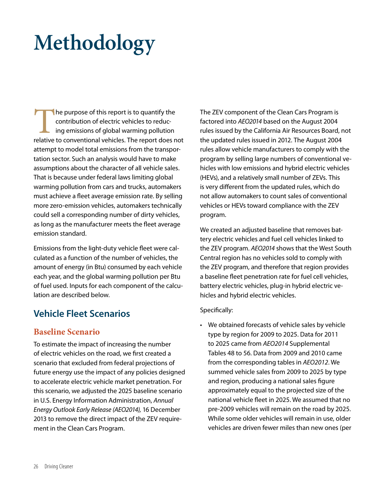## **Methodology**

The purpose of this report is to quantify the<br>
contribution of electric vehicles to reduc-<br>
ing emissions of global warming pollution<br>
relative to conventional vehicles. The report does not contribution of electric vehicles to reducing emissions of global warming pollution attempt to model total emissions from the transportation sector. Such an analysis would have to make assumptions about the character of all vehicle sales. That is because under federal laws limiting global warming pollution from cars and trucks, automakers must achieve a fleet average emission rate. By selling more zero-emission vehicles, automakers technically could sell a corresponding number of dirty vehicles, as long as the manufacturer meets the fleet average emission standard.

Emissions from the light-duty vehicle fleet were calculated as a function of the number of vehicles, the amount of energy (in Btu) consumed by each vehicle each year, and the global warming pollution per Btu of fuel used. Inputs for each component of the calculation are described below.

### **Vehicle Fleet Scenarios**

#### **Baseline Scenario**

To estimate the impact of increasing the number of electric vehicles on the road, we first created a scenario that excluded from federal projections of future energy use the impact of any policies designed to accelerate electric vehicle market penetration. For this scenario, we adjusted the 2025 baseline scenario in U.S. Energy Information Administration, *Annual Energy Outlook Early Release (AEO2014),* 16 December 2013 to remove the direct impact of the ZEV requirement in the Clean Cars Program.

The ZEV component of the Clean Cars Program is factored into *AEO2014* based on the August 2004 rules issued by the California Air Resources Board, not the updated rules issued in 2012. The August 2004 rules allow vehicle manufacturers to comply with the program by selling large numbers of conventional vehicles with low emissions and hybrid electric vehicles (HEVs), and a relatively small number of ZEVs. This is very different from the updated rules, which do not allow automakers to count sales of conventional vehicles or HEVs toward compliance with the ZEV program.

We created an adjusted baseline that removes battery electric vehicles and fuel cell vehicles linked to the ZEV program. *AEO2014* shows that the West South Central region has no vehicles sold to comply with the ZEV program, and therefore that region provides a baseline fleet penetration rate for fuel cell vehicles, battery electric vehicles, plug-in hybrid electric vehicles and hybrid electric vehicles.

#### Specifically:

• We obtained forecasts of vehicle sales by vehicle type by region for 2009 to 2025. Data for 2011 to 2025 came from *AEO2014* Supplemental Tables 48 to 56. Data from 2009 and 2010 came from the corresponding tables in *AEO2012*. We summed vehicle sales from 2009 to 2025 by type and region, producing a national sales figure approximately equal to the projected size of the national vehicle fleet in 2025. We assumed that no pre-2009 vehicles will remain on the road by 2025. While some older vehicles will remain in use, older vehicles are driven fewer miles than new ones (per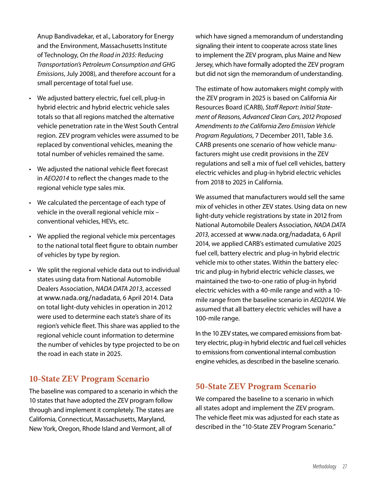Anup Bandivadekar, et al., Laboratory for Energy and the Environment, Massachusetts Institute of Technology, *On the Road in 2035: Reducing Transportation's Petroleum Consumption and GHG Emissions*, July 2008), and therefore account for a small percentage of total fuel use.

- We adjusted battery electric, fuel cell, plug-in hybrid electric and hybrid electric vehicle sales totals so that all regions matched the alternative vehicle penetration rate in the West South Central region. ZEV program vehicles were assumed to be replaced by conventional vehicles, meaning the total number of vehicles remained the same.
- • We adjusted the national vehicle fleet forecast in *AEO2014* to reflect the changes made to the regional vehicle type sales mix.
- We calculated the percentage of each type of vehicle in the overall regional vehicle mix – conventional vehicles, HEVs, etc.
- We applied the regional vehicle mix percentages to the national total fleet figure to obtain number of vehicles by type by region.
- We split the regional vehicle data out to individual states using data from National Automobile Dealers Association, *NADA DATA 2013*, accessed at www.nada.org/nadadata, 6 April 2014. Data on total light-duty vehicles in operation in 2012 were used to determine each state's share of its region's vehicle fleet. This share was applied to the regional vehicle count information to determine the number of vehicles by type projected to be on the road in each state in 2025.

#### **10-State ZEV Program Scenario**

The baseline was compared to a scenario in which the 10 states that have adopted the ZEV program follow through and implement it completely. The states are California, Connecticut, Massachusetts, Maryland, New York, Oregon, Rhode Island and Vermont, all of

which have signed a memorandum of understanding signaling their intent to cooperate across state lines to implement the ZEV program, plus Maine and New Jersey, which have formally adopted the ZEV program but did not sign the memorandum of understanding.

The estimate of how automakers might comply with the ZEV program in 2025 is based on California Air Resources Board (CARB), *Staff Report: Initial Statement of Reasons, Advanced Clean Cars, 2012 Proposed Amendments to the California Zero Emission Vehicle Program Regulations*, 7 December 2011, Table 3.6. CARB presents one scenario of how vehicle manufacturers might use credit provisions in the ZEV regulations and sell a mix of fuel cell vehicles, battery electric vehicles and plug-in hybrid electric vehicles from 2018 to 2025 in California.

We assumed that manufacturers would sell the same mix of vehicles in other ZEV states. Using data on new light-duty vehicle registrations by state in 2012 from National Automobile Dealers Association, *NADA DATA 2013*, accessed at www.nada.org/nadadata, 6 April 2014, we applied CARB's estimated cumulative 2025 fuel cell, battery electric and plug-in hybrid electric vehicle mix to other states. Within the battery electric and plug-in hybrid electric vehicle classes, we maintained the two-to-one ratio of plug-in hybrid electric vehicles with a 40-mile range and with a 10 mile range from the baseline scenario in *AEO2014*. We assumed that all battery electric vehicles will have a 100-mile range.

In the 10 ZEV states, we compared emissions from battery electric, plug-in hybrid electric and fuel cell vehicles to emissions from conventional internal combustion engine vehicles, as described in the baseline scenario.

#### **50-State ZEV Program Scenario**

We compared the baseline to a scenario in which all states adopt and implement the ZEV program. The vehicle fleet mix was adjusted for each state as described in the "10-State ZEV Program Scenario."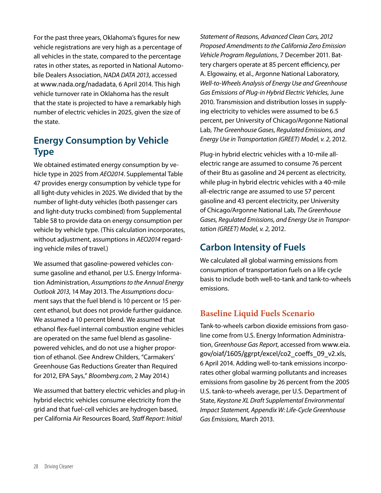For the past three years, Oklahoma's figures for new vehicle registrations are very high as a percentage of all vehicles in the state, compared to the percentage rates in other states, as reported in National Automobile Dealers Association, *NADA DATA 2013*, accessed at www.nada.org/nadadata, 6 April 2014. This high vehicle turnover rate in Oklahoma has the result that the state is projected to have a remarkably high number of electric vehicles in 2025, given the size of the state.

### **Energy Consumption by Vehicle Type**

We obtained estimated energy consumption by vehicle type in 2025 from *AEO2014*. Supplemental Table 47 provides energy consumption by vehicle type for all light-duty vehicles in 2025. We divided that by the number of light-duty vehicles (both passenger cars and light-duty trucks combined) from Supplemental Table 58 to provide data on energy consumption per vehicle by vehicle type. (This calculation incorporates, without adjustment, assumptions in *AEO2014* regarding vehicle miles of travel.)

We assumed that gasoline-powered vehicles consume gasoline and ethanol, per U.S. Energy Information Administration, *Assumptions to the Annual Energy Outlook 2013*, 14 May 2013. The *Assumptions* document says that the fuel blend is 10 percent or 15 percent ethanol, but does not provide further guidance. We assumed a 10 percent blend. We assumed that ethanol flex-fuel internal combustion engine vehicles are operated on the same fuel blend as gasolinepowered vehicles, and do not use a higher proportion of ethanol. (See Andrew Childers, "Carmakers' Greenhouse Gas Reductions Greater than Required for 2012, EPA Says," *Bloomberg.com*, 2 May 2014.)

We assumed that battery electric vehicles and plug-in hybrid electric vehicles consume electricity from the grid and that fuel-cell vehicles are hydrogen based, per California Air Resources Board, *Staff Report: Initial* 

*Statement of Reasons, Advanced Clean Cars, 2012 Proposed Amendments to the California Zero Emission Vehicle Program Regulations*, 7 December 2011. Battery chargers operate at 85 percent efficiency, per A. Elgowainy, et al., Argonne National Laboratory, *Well-to-Wheels Analysis of Energy Use and Greenhouse Gas Emissions of Plug-in Hybrid Electric Vehicles,* June 2010. Transmission and distribution losses in supplying electricity to vehicles were assumed to be 6.5 percent, per University of Chicago/Argonne National Lab, *The Greenhouse Gases, Regulated Emissions, and Energy Use in Transportation (GREET) Model, v. 2*, 2012.

Plug-in hybrid electric vehicles with a 10-mile allelectric range are assumed to consume 76 percent of their Btu as gasoline and 24 percent as electricity, while plug-in hybrid electric vehicles with a 40-mile all-electric range are assumed to use 57 percent gasoline and 43 percent electricity, per University of Chicago/Argonne National Lab, *The Greenhouse Gases, Regulated Emissions, and Energy Use in Transportation (GREET) Model, v. 2*, 2012.

## **Carbon Intensity of Fuels**

We calculated all global warming emissions from consumption of transportation fuels on a life cycle basis to include both well-to-tank and tank-to-wheels emissions.

#### **Baseline Liquid Fuels Scenario**

Tank-to-wheels carbon dioxide emissions from gasoline come from U.S. Energy Information Administration, *Greenhouse Gas Report*, accessed from www.eia. gov/oiaf/1605/ggrpt/excel/co2\_coeffs\_09\_v2.xls, 6 April 2014. Adding well-to-tank emissions incorporates other global warming pollutants and increases emissions from gasoline by 26 percent from the 2005 U.S. tank-to-wheels average, per U.S. Department of State, *Keystone XL Draft Supplemental Environmental Impact Statement, Appendix W: Life-Cycle Greenhouse Gas Emissions,* March 2013.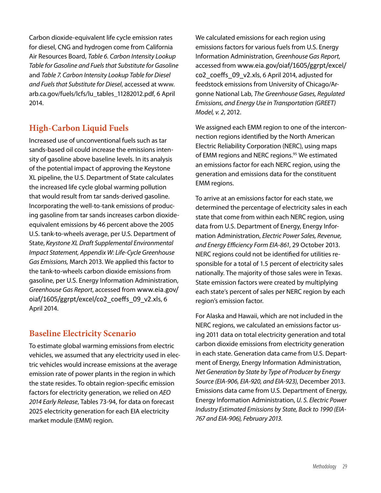Carbon dioxide-equivalent life cycle emission rates for diesel, CNG and hydrogen come from California Air Resources Board, *Table 6. Carbon Intensity Lookup Table for Gasoline and Fuels that Substitute for Gasoline* and *Table 7. Carbon Intensity Lookup Table for Diesel and Fuels that Substitute for Diesel*, accessed at www. arb.ca.gov/fuels/lcfs/lu\_tables\_11282012.pdf, 6 April 2014.

### **High-Carbon Liquid Fuels**

Increased use of unconventional fuels such as tar sands-based oil could increase the emissions intensity of gasoline above baseline levels. In its analysis of the potential impact of approving the Keystone XL pipeline, the U.S. Department of State calculates the increased life cycle global warming pollution that would result from tar sands-derived gasoline. Incorporating the well-to-tank emissions of producing gasoline from tar sands increases carbon dioxideequivalent emissions by 46 percent above the 2005 U.S. tank-to-wheels average, per U.S. Department of State, *Keystone XL Draft Supplemental Environmental Impact Statement, Appendix W: Life-Cycle Greenhouse Gas Emissions,* March 2013. We applied this factor to the tank-to-wheels carbon dioxide emissions from gasoline, per U.S. Energy Information Administration, *Greenhouse Gas Report*, accessed from www.eia.gov/ oiaf/1605/ggrpt/excel/co2\_coeffs\_09\_v2.xls, 6 April 2014.

### **Baseline Electricity Scenario**

To estimate global warming emissions from electric vehicles, we assumed that any electricity used in electric vehicles would increase emissions at the average emission rate of power plants in the region in which the state resides. To obtain region-specific emission factors for electricity generation, we relied on *AEO 2014 Early Release*, Tables 73-94, for data on forecast 2025 electricity generation for each EIA electricity market module (EMM) region.

We calculated emissions for each region using emissions factors for various fuels from U.S. Energy Information Administration, *Greenhouse Gas Report*, accessed from www.eia.gov/oiaf/1605/ggrpt/excel/ co2\_coeffs\_09\_v2.xls, 6 April 2014, adjusted for feedstock emissions from University of Chicago/Argonne National Lab, *The Greenhouse Gases, Regulated Emissions, and Energy Use in Transportation (GREET) Model, v. 2*, 2012.

We assigned each EMM region to one of the interconnection regions identified by the North American Electric Reliability Corporation (NERC), using maps of EMM regions and NERC regions.<sup>95</sup> We estimated an emissions factor for each NERC region, using the generation and emissions data for the constituent EMM regions.

To arrive at an emissions factor for each state, we determined the percentage of electricity sales in each state that come from within each NERC region, using data from U.S. Department of Energy, Energy Information Administration, *Electric Power Sales, Revenue, and Energy Efficiency Form EIA-861*, 29 October 2013. NERC regions could not be identified for utilities responsible for a total of 1.5 percent of electricity sales nationally. The majority of those sales were in Texas. State emission factors were created by multiplying each state's percent of sales per NERC region by each region's emission factor.

For Alaska and Hawaii, which are not included in the NERC regions, we calculated an emissions factor using 2011 data on total electricity generation and total carbon dioxide emissions from electricity generation in each state. Generation data came from U.S. Department of Energy, Energy Information Administration, *Net Generation by State by Type of Producer by Energy Source (EIA-906, EIA-920, and EIA-923)*, December 2013. Emissions data came from U.S. Department of Energy, Energy Information Administration, *U. S. Electric Power Industry Estimated Emissions by State, Back to 1990 (EIA-767 and EIA-906), February 2013.*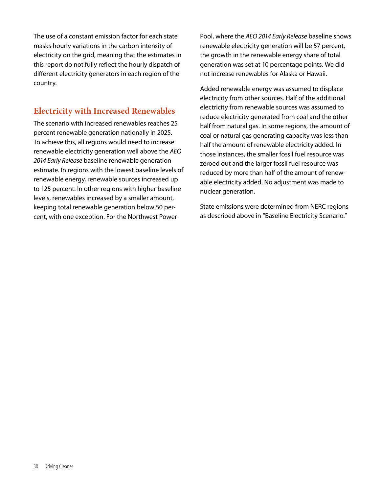The use of a constant emission factor for each state masks hourly variations in the carbon intensity of electricity on the grid, meaning that the estimates in this report do not fully reflect the hourly dispatch of different electricity generators in each region of the country.

#### **Electricity with Increased Renewables**

The scenario with increased renewables reaches 25 percent renewable generation nationally in 2025. To achieve this, all regions would need to increase renewable electricity generation well above the *AEO 2014 Early Release* baseline renewable generation estimate. In regions with the lowest baseline levels of renewable energy, renewable sources increased up to 125 percent. In other regions with higher baseline levels, renewables increased by a smaller amount, keeping total renewable generation below 50 percent, with one exception. For the Northwest Power

Pool, where the *AEO 2014 Early Release* baseline shows renewable electricity generation will be 57 percent, the growth in the renewable energy share of total generation was set at 10 percentage points. We did not increase renewables for Alaska or Hawaii.

Added renewable energy was assumed to displace electricity from other sources. Half of the additional electricity from renewable sources was assumed to reduce electricity generated from coal and the other half from natural gas. In some regions, the amount of coal or natural gas generating capacity was less than half the amount of renewable electricity added. In those instances, the smaller fossil fuel resource was zeroed out and the larger fossil fuel resource was reduced by more than half of the amount of renewable electricity added. No adjustment was made to nuclear generation.

State emissions were determined from NERC regions as described above in "Baseline Electricity Scenario."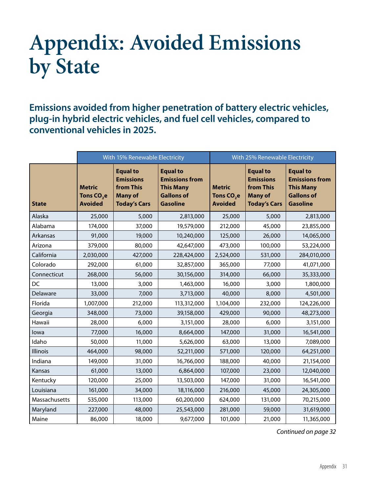## **Appendix: Avoided Emissions by State**

**Emissions avoided from higher penetration of battery electric vehicles, plug-in hybrid electric vehicles, and fuel cell vehicles, compared to conventional vehicles in 2025.**

|                 | With 15% Renewable Electricity                            |                                                                                           | With 25% Renewable Electricity                                                                       |                                                           |                                                                                           |                                                                                                      |
|-----------------|-----------------------------------------------------------|-------------------------------------------------------------------------------------------|------------------------------------------------------------------------------------------------------|-----------------------------------------------------------|-------------------------------------------------------------------------------------------|------------------------------------------------------------------------------------------------------|
| <b>State</b>    | <b>Metric</b><br>Tons CO <sub>2</sub> e<br><b>Avoided</b> | <b>Equal to</b><br><b>Emissions</b><br>from This<br><b>Many of</b><br><b>Today's Cars</b> | <b>Equal to</b><br><b>Emissions from</b><br><b>This Many</b><br><b>Gallons of</b><br><b>Gasoline</b> | <b>Metric</b><br>Tons CO <sub>2</sub> e<br><b>Avoided</b> | <b>Equal to</b><br><b>Emissions</b><br>from This<br><b>Many of</b><br><b>Today's Cars</b> | <b>Equal to</b><br><b>Emissions from</b><br><b>This Many</b><br><b>Gallons of</b><br><b>Gasoline</b> |
| Alaska          | 25,000                                                    | 5,000                                                                                     | 2,813,000                                                                                            | 25,000                                                    | 5,000                                                                                     | 2,813,000                                                                                            |
| Alabama         | 174,000                                                   | 37,000                                                                                    | 19,579,000                                                                                           | 212,000                                                   | 45,000                                                                                    | 23,855,000                                                                                           |
| Arkansas        | 91,000                                                    | 19,000                                                                                    | 10,240,000                                                                                           | 125,000                                                   | 26,000                                                                                    | 14,065,000                                                                                           |
| Arizona         | 379,000                                                   | 80,000                                                                                    | 42,647,000                                                                                           | 473,000                                                   | 100,000                                                                                   | 53,224,000                                                                                           |
| California      | 2,030,000                                                 | 427,000                                                                                   | 228,424,000                                                                                          | 2,524,000                                                 | 531,000                                                                                   | 284,010,000                                                                                          |
| Colorado        | 292,000                                                   | 61,000                                                                                    | 32,857,000                                                                                           | 365,000                                                   | 77,000                                                                                    | 41,071,000                                                                                           |
| Connecticut     | 268,000                                                   | 56,000                                                                                    | 30,156,000                                                                                           | 314,000                                                   | 66,000                                                                                    | 35,333,000                                                                                           |
| DC              | 13,000                                                    | 3,000                                                                                     | 1,463,000                                                                                            | 16,000                                                    | 3,000                                                                                     | 1,800,000                                                                                            |
| Delaware        | 33,000                                                    | 7,000                                                                                     | 3,713,000                                                                                            | 40,000                                                    | 8,000                                                                                     | 4,501,000                                                                                            |
| Florida         | 1,007,000                                                 | 212,000                                                                                   | 113,312,000                                                                                          | 1,104,000                                                 | 232,000                                                                                   | 124,226,000                                                                                          |
| Georgia         | 348,000                                                   | 73,000                                                                                    | 39,158,000                                                                                           | 429,000                                                   | 90,000                                                                                    | 48,273,000                                                                                           |
| Hawaii          | 28,000                                                    | 6,000                                                                                     | 3,151,000                                                                                            | 28,000                                                    | 6,000                                                                                     | 3,151,000                                                                                            |
| lowa            | 77,000                                                    | 16,000                                                                                    | 8,664,000                                                                                            | 147,000                                                   | 31,000                                                                                    | 16,541,000                                                                                           |
| Idaho           | 50,000                                                    | 11,000                                                                                    | 5,626,000                                                                                            | 63,000                                                    | 13,000                                                                                    | 7,089,000                                                                                            |
| <b>Illinois</b> | 464,000                                                   | 98,000                                                                                    | 52,211,000                                                                                           | 571,000                                                   | 120,000                                                                                   | 64,251,000                                                                                           |
| Indiana         | 149,000                                                   | 31,000                                                                                    | 16,766,000                                                                                           | 188,000                                                   | 40,000                                                                                    | 21,154,000                                                                                           |
| Kansas          | 61,000                                                    | 13,000                                                                                    | 6,864,000                                                                                            | 107,000                                                   | 23,000                                                                                    | 12,040,000                                                                                           |
| Kentucky        | 120,000                                                   | 25,000                                                                                    | 13,503,000                                                                                           | 147,000                                                   | 31,000                                                                                    | 16,541,000                                                                                           |
| Louisiana       | 161,000                                                   | 34,000                                                                                    | 18,116,000                                                                                           | 216,000                                                   | 45,000                                                                                    | 24,305,000                                                                                           |
| Massachusetts   | 535,000                                                   | 113,000                                                                                   | 60,200,000                                                                                           | 624,000                                                   | 131,000                                                                                   | 70,215,000                                                                                           |
| Maryland        | 227,000                                                   | 48,000                                                                                    | 25,543,000                                                                                           | 281,000                                                   | 59,000                                                                                    | 31,619,000                                                                                           |
| Maine           | 86,000                                                    | 18,000                                                                                    | 9,677,000                                                                                            | 101,000                                                   | 21,000                                                                                    | 11,365,000                                                                                           |

*Continued on page 32*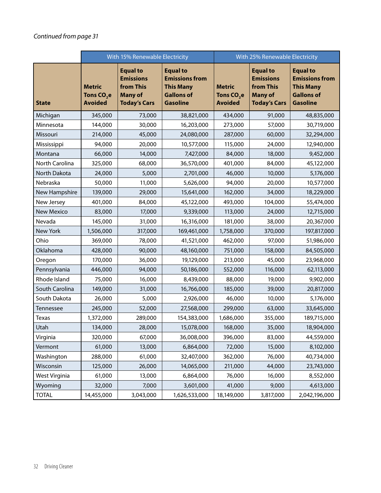|                   | With 15% Renewable Electricity                            |                                                                                           | With 25% Renewable Electricity                                                                       |                                                           |                                                                                           |                                                                                                      |
|-------------------|-----------------------------------------------------------|-------------------------------------------------------------------------------------------|------------------------------------------------------------------------------------------------------|-----------------------------------------------------------|-------------------------------------------------------------------------------------------|------------------------------------------------------------------------------------------------------|
| <b>State</b>      | <b>Metric</b><br>Tons CO <sub>2</sub> e<br><b>Avoided</b> | <b>Equal to</b><br><b>Emissions</b><br>from This<br><b>Many of</b><br><b>Today's Cars</b> | <b>Equal to</b><br><b>Emissions from</b><br><b>This Many</b><br><b>Gallons of</b><br><b>Gasoline</b> | <b>Metric</b><br>Tons CO <sub>2</sub> e<br><b>Avoided</b> | <b>Equal to</b><br><b>Emissions</b><br>from This<br><b>Many of</b><br><b>Today's Cars</b> | <b>Equal to</b><br><b>Emissions from</b><br><b>This Many</b><br><b>Gallons of</b><br><b>Gasoline</b> |
| Michigan          | 345,000                                                   | 73,000                                                                                    | 38,821,000                                                                                           | 434,000                                                   | 91,000                                                                                    | 48,835,000                                                                                           |
| Minnesota         | 144,000                                                   | 30,000                                                                                    | 16,203,000                                                                                           | 273,000                                                   | 57,000                                                                                    | 30,719,000                                                                                           |
| Missouri          | 214,000                                                   | 45,000                                                                                    | 24,080,000                                                                                           | 287,000                                                   | 60,000                                                                                    | 32,294,000                                                                                           |
| Mississippi       | 94,000                                                    | 20,000                                                                                    | 10,577,000                                                                                           | 115,000                                                   | 24,000                                                                                    | 12,940,000                                                                                           |
| Montana           | 66,000                                                    | 14,000                                                                                    | 7,427,000                                                                                            | 84,000                                                    | 18,000                                                                                    | 9,452,000                                                                                            |
| North Carolina    | 325,000                                                   | 68,000                                                                                    | 36,570,000                                                                                           | 401,000                                                   | 84,000                                                                                    | 45,122,000                                                                                           |
| North Dakota      | 24,000                                                    | 5,000                                                                                     | 2,701,000                                                                                            | 46,000                                                    | 10,000                                                                                    | 5,176,000                                                                                            |
| Nebraska          | 50,000                                                    | 11,000                                                                                    | 5,626,000                                                                                            | 94,000                                                    | 20,000                                                                                    | 10,577,000                                                                                           |
| New Hampshire     | 139,000                                                   | 29,000                                                                                    | 15,641,000                                                                                           | 162,000                                                   | 34,000                                                                                    | 18,229,000                                                                                           |
| New Jersey        | 401,000                                                   | 84,000                                                                                    | 45,122,000                                                                                           | 493,000                                                   | 104,000                                                                                   | 55,474,000                                                                                           |
| <b>New Mexico</b> | 83,000                                                    | 17,000                                                                                    | 9,339,000                                                                                            | 113,000                                                   | 24,000                                                                                    | 12,715,000                                                                                           |
| Nevada            | 145,000                                                   | 31,000                                                                                    | 16,316,000                                                                                           | 181,000                                                   | 38,000                                                                                    | 20,367,000                                                                                           |
| New York          | 1,506,000                                                 | 317,000                                                                                   | 169,461,000                                                                                          | 1,758,000                                                 | 370,000                                                                                   | 197,817,000                                                                                          |
| Ohio              | 369,000                                                   | 78,000                                                                                    | 41,521,000                                                                                           | 462,000                                                   | 97,000                                                                                    | 51,986,000                                                                                           |
| Oklahoma          | 428,000                                                   | 90,000                                                                                    | 48,160,000                                                                                           | 751,000                                                   | 158,000                                                                                   | 84,505,000                                                                                           |
| Oregon            | 170,000                                                   | 36,000                                                                                    | 19,129,000                                                                                           | 213,000                                                   | 45,000                                                                                    | 23,968,000                                                                                           |
| Pennsylvania      | 446,000                                                   | 94,000                                                                                    | 50,186,000                                                                                           | 552,000                                                   | 116,000                                                                                   | 62,113,000                                                                                           |
| Rhode Island      | 75,000                                                    | 16,000                                                                                    | 8,439,000                                                                                            | 88,000                                                    | 19,000                                                                                    | 9,902,000                                                                                            |
| South Carolina    | 149,000                                                   | 31,000                                                                                    | 16,766,000                                                                                           | 185,000                                                   | 39,000                                                                                    | 20,817,000                                                                                           |
| South Dakota      | 26,000                                                    | 5,000                                                                                     | 2,926,000                                                                                            | 46,000                                                    | 10,000                                                                                    | 5,176,000                                                                                            |
| Tennessee         | 245,000                                                   | 52,000                                                                                    | 27,568,000                                                                                           | 299,000                                                   | 63,000                                                                                    | 33,645,000                                                                                           |
| Texas             | 1,372,000                                                 | 289,000                                                                                   | 154,383,000                                                                                          | 1,686,000                                                 | 355,000                                                                                   | 189,715,000                                                                                          |
| Utah              | 134,000                                                   | 28,000                                                                                    | 15,078,000                                                                                           | 168,000                                                   | 35,000                                                                                    | 18,904,000                                                                                           |
| Virginia          | 320,000                                                   | 67,000                                                                                    | 36,008,000                                                                                           | 396,000                                                   | 83,000                                                                                    | 44,559,000                                                                                           |
| Vermont           | 61,000                                                    | 13,000                                                                                    | 6,864,000                                                                                            | 72,000                                                    | 15,000                                                                                    | 8,102,000                                                                                            |
| Washington        | 288,000                                                   | 61,000                                                                                    | 32,407,000                                                                                           | 362,000                                                   | 76,000                                                                                    | 40,734,000                                                                                           |
| Wisconsin         | 125,000                                                   | 26,000                                                                                    | 14,065,000                                                                                           | 211,000                                                   | 44,000                                                                                    | 23,743,000                                                                                           |
| West Virginia     | 61,000                                                    | 13,000                                                                                    | 6,864,000                                                                                            | 76,000                                                    | 16,000                                                                                    | 8,552,000                                                                                            |
| Wyoming           | 32,000                                                    | 7,000                                                                                     | 3,601,000                                                                                            | 41,000                                                    | 9,000                                                                                     | 4,613,000                                                                                            |
| <b>TOTAL</b>      | 14,455,000                                                | 3,043,000                                                                                 | 1,626,533,000                                                                                        | 18,149,000                                                | 3,817,000                                                                                 | 2,042,196,000                                                                                        |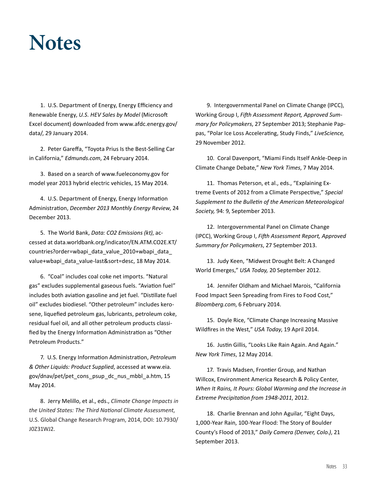## **Notes**

1. U.S. Department of Energy, Energy Efficiency and Renewable Energy, *U.S. HEV Sales by Model* (Microsoft Excel document) downloaded from www.afdc.energy.gov/ data/, 29 January 2014.

2. Peter Gareffa, "Toyota Prius Is the Best-Selling Car in California," *Edmunds.com*, 24 February 2014.

3. Based on a search of www.fueleconomy.gov for model year 2013 hybrid electric vehicles, 15 May 2014.

4. U.S. Department of Energy, Energy Information Administration, *December 2013 Monthly Energy Review*, 24 December 2013.

5. The World Bank, *Data: CO2 Emissions (kt)*, accessed at data.worldbank.org/indicator/EN.ATM.CO2E.KT/ countries?order=wbapi\_data\_value\_2010+wbapi\_data\_ value+wbapi\_data\_value-last&sort=desc, 18 May 2014.

6. "Coal" includes coal coke net imports. "Natural gas" excludes supplemental gaseous fuels. "Aviation fuel" includes both aviation gasoline and jet fuel. "Distillate fuel oil" excludes biodiesel. "Other petroleum" includes kerosene, liquefied petroleum gas, lubricants, petroleum coke, residual fuel oil, and all other petroleum products classified by the Energy Information Administration as "Other Petroleum Products."

7. U.S. Energy Information Administration, *Petroleum & Other Liquids: Product Supplied*, accessed at www.eia. gov/dnav/pet/pet\_cons\_psup\_dc\_nus\_mbbl\_a.htm, 15 May 2014.

8. Jerry Melillo, et al., eds., *Climate Change Impacts in the United States: The Third National Climate Assessment*, U.S. Global Change Research Program, 2014, DOI: 10.7930/ J0Z31WJ2.

9. Intergovernmental Panel on Climate Change (IPCC), Working Group I, *Fifth Assessment Report, Approved Summary for Policymakers*, 27 September 2013; Stephanie Pappas, "Polar Ice Loss Accelerating, Study Finds," *LiveScience,*  29 November 2012.

10. Coral Davenport, "Miami Finds Itself Ankle-Deep in Climate Change Debate," *New York Times*, 7 May 2014.

11. Thomas Peterson, et al., eds., "Explaining Extreme Events of 2012 from a Climate Perspective," *Special Supplement to the Bulletin of the American Meteorological Society,* 94: 9, September 2013.

12. Intergovernmental Panel on Climate Change (IPCC), Working Group I, *Fifth Assessment Report, Approved Summary for Policymakers*, 27 September 2013.

13. Judy Keen, "Midwest Drought Belt: A Changed World Emerges," *USA Today,* 20 September 2012.

14. Jennifer Oldham and Michael Marois, "California Food Impact Seen Spreading from Fires to Food Cost," *Bloomberg.com*, 6 February 2014.

15. Doyle Rice, "Climate Change Increasing Massive Wildfires in the West," *USA Today*, 19 April 2014.

16. Justin Gillis, "Looks Like Rain Again. And Again." *New York Times*, 12 May 2014.

17. Travis Madsen, Frontier Group, and Nathan Willcox, Environment America Research & Policy Center, *When It Rains, It Pours: Global Warming and the Increase in Extreme Precipitation from 1948-2011*, 2012.

18. Charlie Brennan and John Aguilar, "Eight Days, 1,000-Year Rain, 100-Year Flood: The Story of Boulder County's Flood of 2013," *Daily Camera (Denver, Colo.)*, 21 September 2013.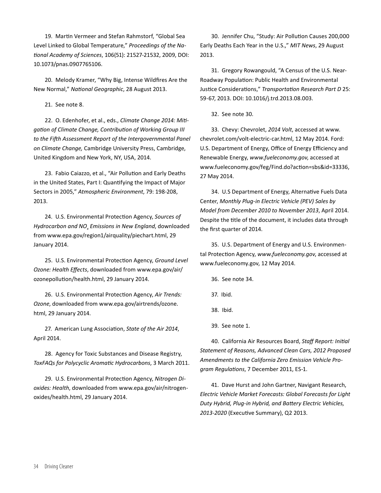19. Martin Vermeer and Stefan Rahmstorf, "Global Sea Level Linked to Global Temperature," *Proceedings of the National Academy of Sciences*, 106(51): 21527-21532, 2009, DOI: 10.1073/pnas.0907765106.

20. Melody Kramer, "Why Big, Intense Wildfires Are the New Normal," *National Geographic*, 28 August 2013.

21. See note 8.

22. O. Edenhofer, et al., eds., *Climate Change 2014: Mitigation of Climate Change, Contribution of Working Group III to the Fifth Assessment Report of the Intergovernmental Panel on Climate Change,* Cambridge University Press, Cambridge, United Kingdom and New York, NY, USA, 2014.

23. Fabio Caiazzo, et al., "Air Pollution and Early Deaths in the United States, Part I: Quantifying the Impact of Major Sectors in 2005," *Atmospheric Environment*, 79: 198-208, 2013.

24. U.S. Environmental Protection Agency, *Sources of*  Hydrocarbon and NO<sub>x</sub> Emissions in New England, downloaded from www.epa.gov/region1/airquality/piechart.html, 29 January 2014.

25. U.S. Environmental Protection Agency, *Ground Level Ozone: Health Effects*, downloaded from www.epa.gov/air/ ozonepollution/health.html, 29 January 2014.

26. U.S. Environmental Protection Agency, *Air Trends: Ozone*, downloaded from www.epa.gov/airtrends/ozone. html, 29 January 2014.

27. American Lung Association, *State of the Air 2014*, April 2014.

28. Agency for Toxic Substances and Disease Registry, *ToxFAQs for Polycyclic Aromatic Hydrocarbons*, 3 March 2011.

29. U.S. Environmental Protection Agency, *Nitrogen Dioxides: Health*, downloaded from www.epa.gov/air/nitrogenoxides/health.html, 29 January 2014.

30. Jennifer Chu, "Study: Air Pollution Causes 200,000 Early Deaths Each Year in the U.S.," *MIT News*, 29 August 2013.

31. Gregory Rowangould, "A Census of the U.S. Near-Roadway Population: Public Health and Environmental Justice Considerations," *Transportation Research Part D* 25: 59-67, 2013. DOI: 10.1016/j.trd.2013.08.003.

32. See note 30.

33. Chevy: Chevrolet, *2014 Volt*, accessed at www. chevrolet.com/volt-electric-car.html, 12 May 2014. Ford: U.S. Department of Energy, Office of Energy Efficiency and Renewable Energy, *www.fueleconomy.gov*, accessed at www.fueleconomy.gov/feg/Find.do?action=sbs&id=33336, 27 May 2014.

34. U.S Department of Energy, Alternative Fuels Data Center, *Monthly Plug-in Electric Vehicle (PEV) Sales by Model from December 2010 to November 2013*, April 2014. Despite the title of the document, it includes data through the first quarter of 2014.

35. U.S. Department of Energy and U.S. Environmental Protection Agency, *www.fueleconomy.gov*, accessed at www.fueleconomy.gov, 12 May 2014.

36. See note 34.

37. Ibid.

38. Ibid.

39. See note 1.

40. California Air Resources Board, *Staff Report: Initial Statement of Reasons, Advanced Clean Cars, 2012 Proposed Amendments to the California Zero Emission Vehicle Program Regulations*, 7 December 2011, ES-1.

41. Dave Hurst and John Gartner, Navigant Research, *Electric Vehicle Market Forecasts: Global Forecasts for Light Duty Hybrid, Plug-in Hybrid, and Battery Electric Vehicles, 2013-2020* (Executive Summary), Q2 2013.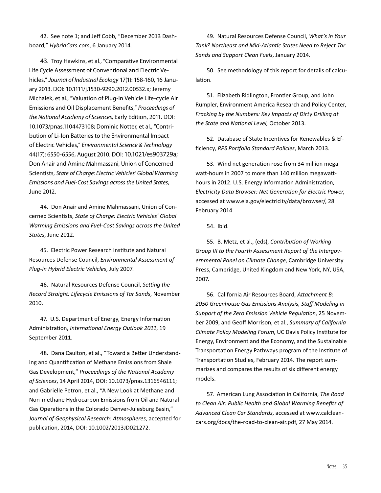42. See note 1; and Jeff Cobb, "December 2013 Dashboard," *HybridCars.com*, 6 January 2014.

43. Troy Hawkins, et al., "Comparative Environmental Life Cycle Assessment of Conventional and Electric Vehicles," *Journal of Industrial Ecology* 17(1): 158-160, 16 January 2013. DOI: 10.1111/j.1530-9290.2012.00532.x; Jeremy Michalek, et al., "Valuation of Plug-in Vehicle Life-cycle Air Emissions and Oil Displacement Benefits," *Proceedings of the National Academy of Sciences,* Early Edition, 2011. DOI: 10.1073/pnas.1104473108; Dominic Notter, et al., "Contribution of Li-Ion Batteries to the Environmental Impact of Electric Vehicles," *Environmental Science & Technology*  44(17): 6550-6556, August 2010. DOI: 10.1021/es903729a; Don Anair and Amine Mahmassani, Union of Concerned Scientists, *State of Charge: Electric Vehicles' Global Warming Emissions and Fuel-Cost Savings across the United States*, June 2012.

44. Don Anair and Amine Mahmassani, Union of Concerned Scientists, *State of Charge: Electric Vehicles' Global Warming Emissions and Fuel-Cost Savings across the United States*, June 2012.

45. Electric Power Research Institute and Natural Resources Defense Council, *Environmental Assessment of Plug-in Hybrid Electric Vehicles*, July 2007.

46. Natural Resources Defense Council, *Setting the Record Straight: Lifecycle Emissions of Tar Sands*, November 2010.

47. U.S. Department of Energy, Energy Information Administration, *International Energy Outlook 2011*, 19 September 2011.

48. Dana Caulton, et al., "Toward a Better Understanding and Quantification of Methane Emissions from Shale Gas Development," *Proceedings of the National Academy of Sciences*, 14 April 2014, DOI: 10.1073/pnas.1316546111; and Gabrielle Petron, et al., "A New Look at Methane and Non-methane Hydrocarbon Emissions from Oil and Natural Gas Operations in the Colorado Denver-Julesburg Basin," *Journal of Geophysical Research: Atmospheres*, accepted for publication, 2014, DOI: 10.1002/2013JD021272.

49. Natural Resources Defense Council, *What's in Your Tank? Northeast and Mid-Atlantic States Need to Reject Tar Sands and Support Clean Fuels*, January 2014.

50. See methodology of this report for details of calculation.

51. Elizabeth Ridlington, Frontier Group, and John Rumpler, Environment America Research and Policy Center, *Fracking by the Numbers: Key Impacts of Dirty Drilling at the State and National Level,* October 2013.

52. Database of State Incentives for Renewables & Efficiency, *RPS Portfolio Standard Policies*, March 2013.

53. Wind net generation rose from 34 million megawatt-hours in 2007 to more than 140 million megawatthours in 2012. U.S. Energy Information Administration, *Electricity Data Browser: Net Generation for Electric Power*, accessed at www.eia.gov/electricity/data/browser/, 28 February 2014.

54. Ibid.

55. B. Metz, et al., (eds), *Contribution of Working Group III to the Fourth Assessment Report of the Intergovernmental Panel on Climate Change*, Cambridge University Press, Cambridge, United Kingdom and New York, NY, USA, 2007.

56. California Air Resources Board, *Attachment B: 2050 Greenhouse Gas Emissions Analysis, Staff Modeling in Support of the Zero Emission Vehicle Regulation*, 25 November 2009, and Geoff Morrison, et al., *Summary of California Climate Policy Modeling Forum*, UC Davis Policy Institute for Energy, Environment and the Economy, and the Sustainable Transportation Energy Pathways program of the Institute of Transportation Studies, February 2014. The report summarizes and compares the results of six different energy models.

57. American Lung Association in California, *The Road to Clean Air: Public Health and Global Warming Benefits of Advanced Clean Car Standards*, accessed at www.calcleancars.org/docs/the-road-to-clean-air.pdf, 27 May 2014.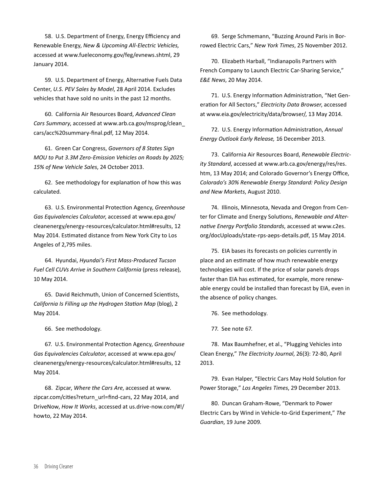58. U.S. Department of Energy, Energy Efficiency and Renewable Energy, *New & Upcoming All-Electric Vehicles,* accessed at www.fueleconomy.gov/feg/evnews.shtml, 29 January 2014.

59. U.S. Department of Energy, Alternative Fuels Data Center, *U.S. PEV Sales by Model*, 28 April 2014. Excludes vehicles that have sold no units in the past 12 months.

60. California Air Resources Board, *Advanced Clean Cars Summary*, accessed at www.arb.ca.gov/msprog/clean\_ cars/acc%20summary-final.pdf, 12 May 2014.

61. Green Car Congress, *Governors of 8 States Sign MOU to Put 3.3M Zero-Emission Vehicles on Roads by 2025; 15% of New Vehicle Sales*, 24 October 2013.

62. See methodology for explanation of how this was calculated.

63. U.S. Environmental Protection Agency, *Greenhouse Gas Equivalencies Calculator*, accessed at www.epa.gov/ cleanenergy/energy-resources/calculator.html#results, 12 May 2014. Estimated distance from New York City to Los Angeles of 2,795 miles.

64. Hyundai, *Hyundai's First Mass-Produced Tucson Fuel Cell CUVs Arrive in Southern California* (press release), 10 May 2014.

65. David Reichmuth, Union of Concerned Scientists, *California Is Filling up the Hydrogen Station Map* (blog), 2 May 2014.

66. See methodology.

67. U.S. Environmental Protection Agency, *Greenhouse Gas Equivalencies Calculator*, accessed at www.epa.gov/ cleanenergy/energy-resources/calculator.html#results, 12 May 2014.

68. Zipcar, *Where the Cars Are*, accessed at www. zipcar.com/cities?return\_url=find-cars, 22 May 2014, and DriveNow, *How It Works*, accessed at us.drive-now.com/#!/ howto, 22 May 2014.

69. Serge Schmemann, "Buzzing Around Paris in Borrowed Electric Cars," *New York Times*, 25 November 2012.

70. Elizabeth Harball, "Indianapolis Partners with French Company to Launch Electric Car-Sharing Service," *E&E News*, 20 May 2014.

71. U.S. Energy Information Administration, "Net Generation for All Sectors," *Electricity Data Browser*, accessed at www.eia.gov/electricity/data/browser/, 13 May 2014.

72. U.S. Energy Information Administration, *Annual Energy Outlook Early Release,* 16 December 2013.

73. California Air Resources Board, *Renewable Electricity Standard*, accessed at www.arb.ca.gov/energy/res/res. htm, 13 May 2014; and Colorado Governor's Energy Office, *Colorado's 30% Renewable Energy Standard: Policy Design and New Markets*, August 2010.

74. Illinois, Minnesota, Nevada and Oregon from Center for Climate and Energy Solutions, *Renewable and Alternative Energy Portfolio Standards*, accessed at www.c2es. org/docUploads/state-rps-aeps-details.pdf, 15 May 2014.

75. EIA bases its forecasts on policies currently in place and an estimate of how much renewable energy technologies will cost. If the price of solar panels drops faster than EIA has estimated, for example, more renewable energy could be installed than forecast by EIA, even in the absence of policy changes.

76. See methodology.

77. See note 67.

78. Max Baumhefner, et al., "Plugging Vehicles into Clean Energy," *The Electricity Journal*, 26(3): 72-80, April 2013.

79. Evan Halper, "Electric Cars May Hold Solution for Power Storage," *Los Angeles Times*, 29 December 2013.

80. Duncan Graham-Rowe, "Denmark to Power Electric Cars by Wind in Vehicle-to-Grid Experiment," *The Guardian*, 19 June 2009.